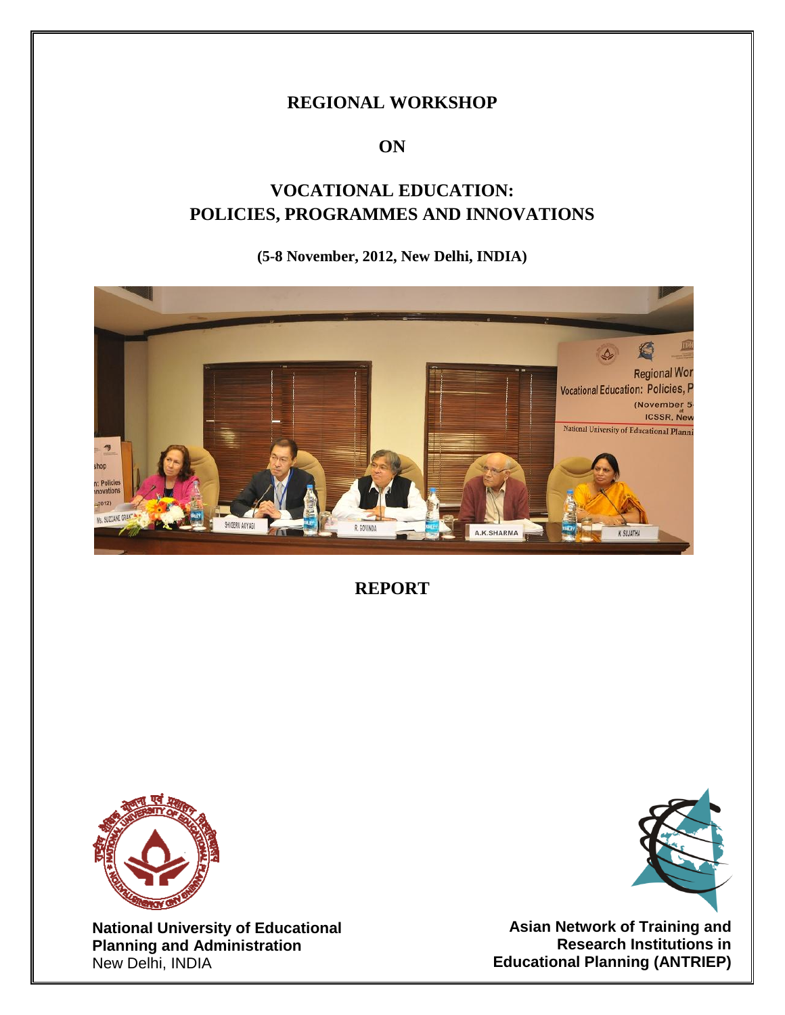# **REGIONAL WORKSHOP**

# **ON**

# **VOCATIONAL EDUCATION: POLICIES, PROGRAMMES AND INNOVATIONS**

# **(5-8 November, 2012, New Delhi, INDIA)**



**REPORT**



**National University of Educational Planning and Administration** New Delhi, INDIA



**Asian Network of Training and Research Institutions in Educational Planning (ANTRIEP)**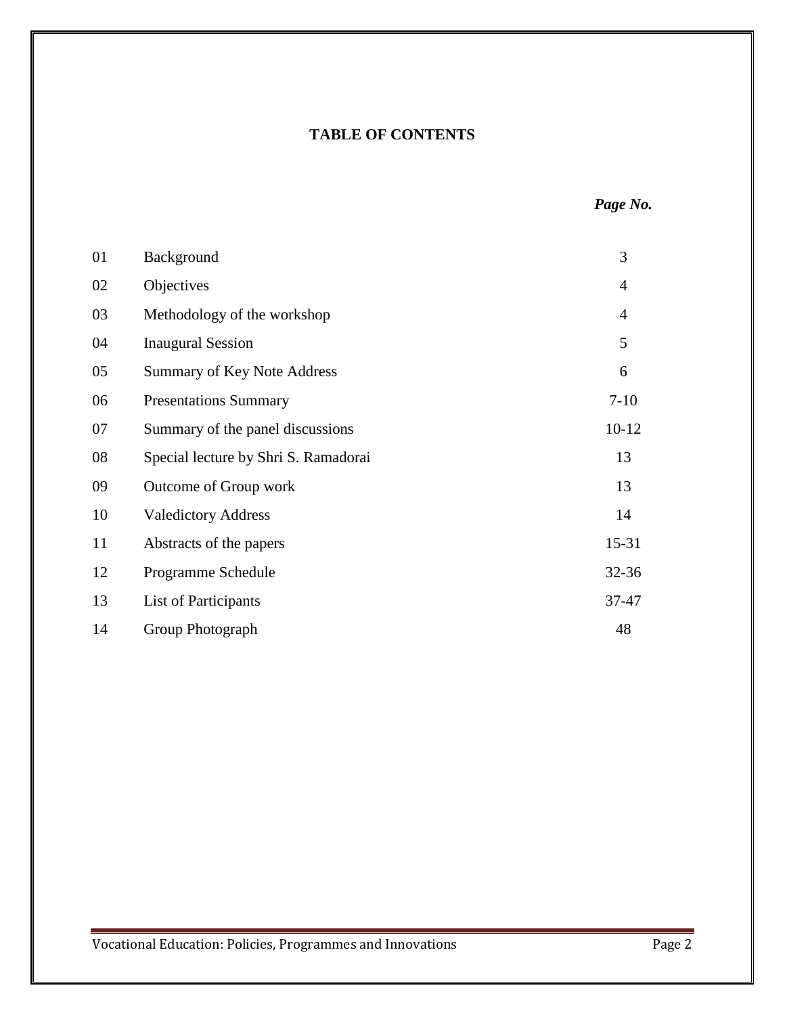# **TABLE OF CONTENTS**

| 01 | Background                           | 3              |
|----|--------------------------------------|----------------|
| 02 | Objectives                           | $\overline{4}$ |
| 03 | Methodology of the workshop          | $\overline{4}$ |
| 04 | <b>Inaugural Session</b>             | 5              |
| 05 | <b>Summary of Key Note Address</b>   | 6              |
| 06 | <b>Presentations Summary</b>         | $7-10$         |
| 07 | Summary of the panel discussions     | $10-12$        |
| 08 | Special lecture by Shri S. Ramadorai | 13             |
| 09 | Outcome of Group work                | 13             |
| 10 | <b>Valedictory Address</b>           | 14             |
| 11 | Abstracts of the papers              | $15 - 31$      |
| 12 | Programme Schedule                   | 32-36          |
| 13 | List of Participants                 | 37-47          |
| 14 | Group Photograph                     | 48             |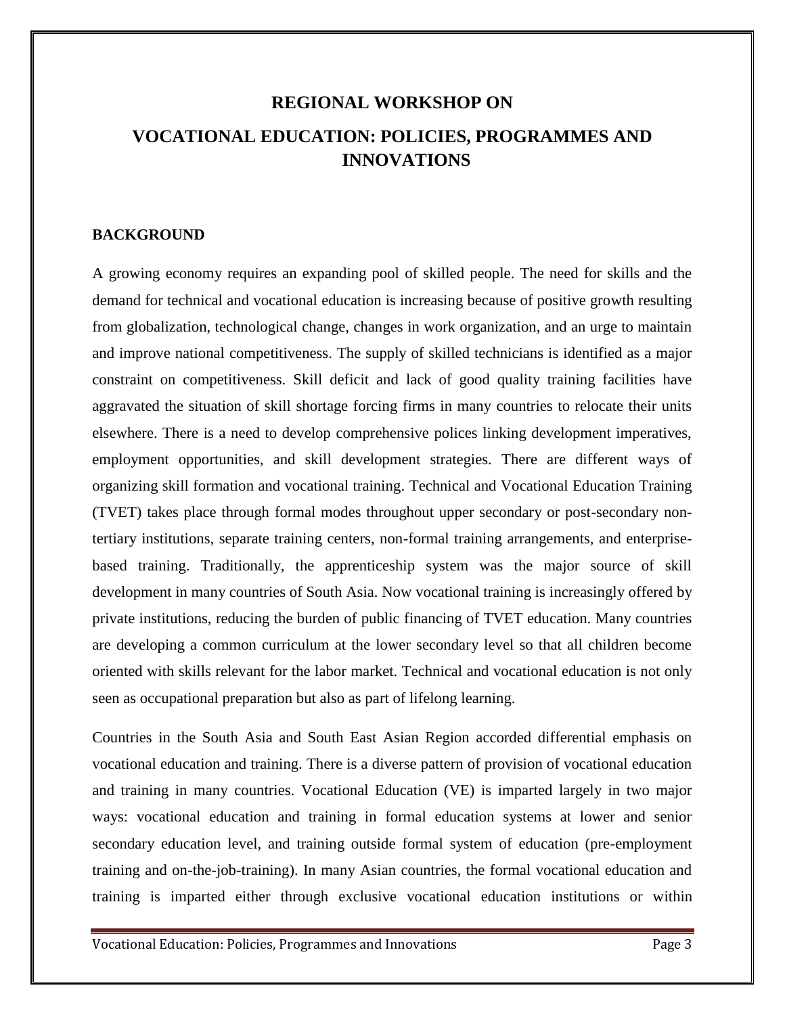# **REGIONAL WORKSHOP ON VOCATIONAL EDUCATION: POLICIES, PROGRAMMES AND INNOVATIONS**

# **BACKGROUND**

A growing economy requires an expanding pool of skilled people. The need for skills and the demand for technical and vocational education is increasing because of positive growth resulting from globalization, technological change, changes in work organization, and an urge to maintain and improve national competitiveness. The supply of skilled technicians is identified as a major constraint on competitiveness. Skill deficit and lack of good quality training facilities have aggravated the situation of skill shortage forcing firms in many countries to relocate their units elsewhere. There is a need to develop comprehensive polices linking development imperatives, employment opportunities, and skill development strategies. There are different ways of organizing skill formation and vocational training. Technical and Vocational Education Training (TVET) takes place through formal modes throughout upper secondary or post-secondary nontertiary institutions, separate training centers, non-formal training arrangements, and enterprisebased training. Traditionally, the apprenticeship system was the major source of skill development in many countries of South Asia. Now vocational training is increasingly offered by private institutions, reducing the burden of public financing of TVET education. Many countries are developing a common curriculum at the lower secondary level so that all children become oriented with skills relevant for the labor market. Technical and vocational education is not only seen as occupational preparation but also as part of lifelong learning.

Countries in the South Asia and South East Asian Region accorded differential emphasis on vocational education and training. There is a diverse pattern of provision of vocational education and training in many countries. Vocational Education (VE) is imparted largely in two major ways: vocational education and training in formal education systems at lower and senior secondary education level, and training outside formal system of education (pre-employment training and on-the-job-training). In many Asian countries, the formal vocational education and training is imparted either through exclusive vocational education institutions or within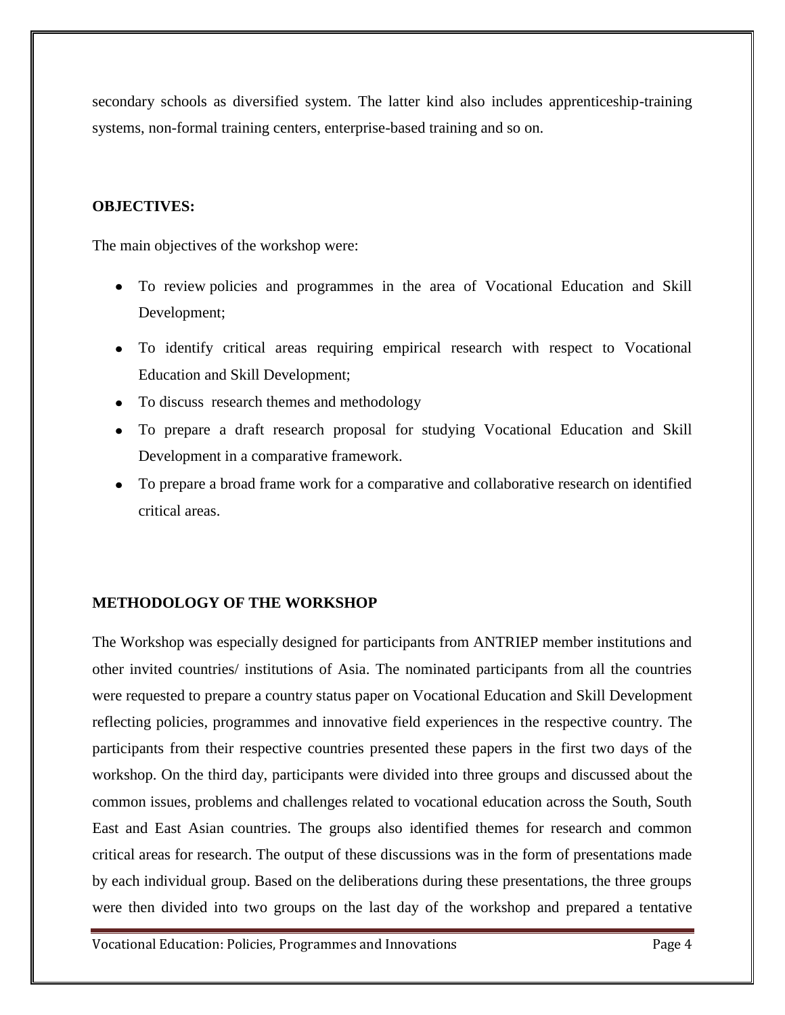secondary schools as diversified system. The latter kind also includes apprenticeship-training systems, non-formal training centers, enterprise-based training and so on.

# **OBJECTIVES:**

The main objectives of the workshop were:

- To review policies and programmes in the area of Vocational Education and Skill Development;
- To identify critical areas requiring empirical research with respect to Vocational Education and Skill Development;
- To discuss research themes and methodology
- To prepare a draft research proposal for studying Vocational Education and Skill Development in a comparative framework.
- To prepare a broad frame work for a comparative and collaborative research on identified critical areas.

### **METHODOLOGY OF THE WORKSHOP**

The Workshop was especially designed for participants from ANTRIEP member institutions and other invited countries/ institutions of Asia. The nominated participants from all the countries were requested to prepare a country status paper on Vocational Education and Skill Development reflecting policies, programmes and innovative field experiences in the respective country. The participants from their respective countries presented these papers in the first two days of the workshop. On the third day, participants were divided into three groups and discussed about the common issues, problems and challenges related to vocational education across the South, South East and East Asian countries. The groups also identified themes for research and common critical areas for research. The output of these discussions was in the form of presentations made by each individual group. Based on the deliberations during these presentations, the three groups were then divided into two groups on the last day of the workshop and prepared a tentative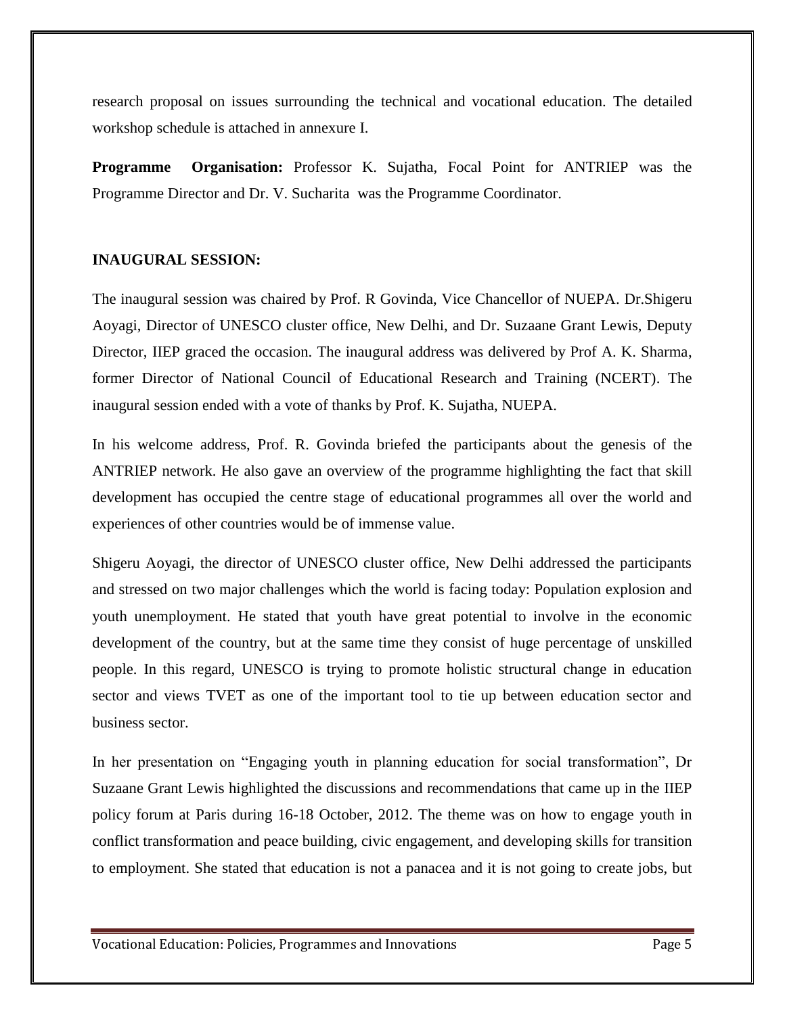research proposal on issues surrounding the technical and vocational education. The detailed workshop schedule is attached in annexure I.

**Programme Organisation:** Professor K. Sujatha, Focal Point for ANTRIEP was the Programme Director and Dr. V. Sucharita was the Programme Coordinator.

### **INAUGURAL SESSION:**

The inaugural session was chaired by Prof. R Govinda, Vice Chancellor of NUEPA. Dr.Shigeru Aoyagi, Director of UNESCO cluster office, New Delhi, and Dr. Suzaane Grant Lewis, Deputy Director, IIEP graced the occasion. The inaugural address was delivered by Prof A. K. Sharma, former Director of National Council of Educational Research and Training (NCERT). The inaugural session ended with a vote of thanks by Prof. K. Sujatha, NUEPA.

In his welcome address, Prof. R. Govinda briefed the participants about the genesis of the ANTRIEP network. He also gave an overview of the programme highlighting the fact that skill development has occupied the centre stage of educational programmes all over the world and experiences of other countries would be of immense value.

Shigeru Aoyagi, the director of UNESCO cluster office, New Delhi addressed the participants and stressed on two major challenges which the world is facing today: Population explosion and youth unemployment. He stated that youth have great potential to involve in the economic development of the country, but at the same time they consist of huge percentage of unskilled people. In this regard, UNESCO is trying to promote holistic structural change in education sector and views TVET as one of the important tool to tie up between education sector and business sector.

In her presentation on "Engaging youth in planning education for social transformation", Dr Suzaane Grant Lewis highlighted the discussions and recommendations that came up in the IIEP policy forum at Paris during 16-18 October, 2012. The theme was on how to engage youth in conflict transformation and peace building, civic engagement, and developing skills for transition to employment. She stated that education is not a panacea and it is not going to create jobs, but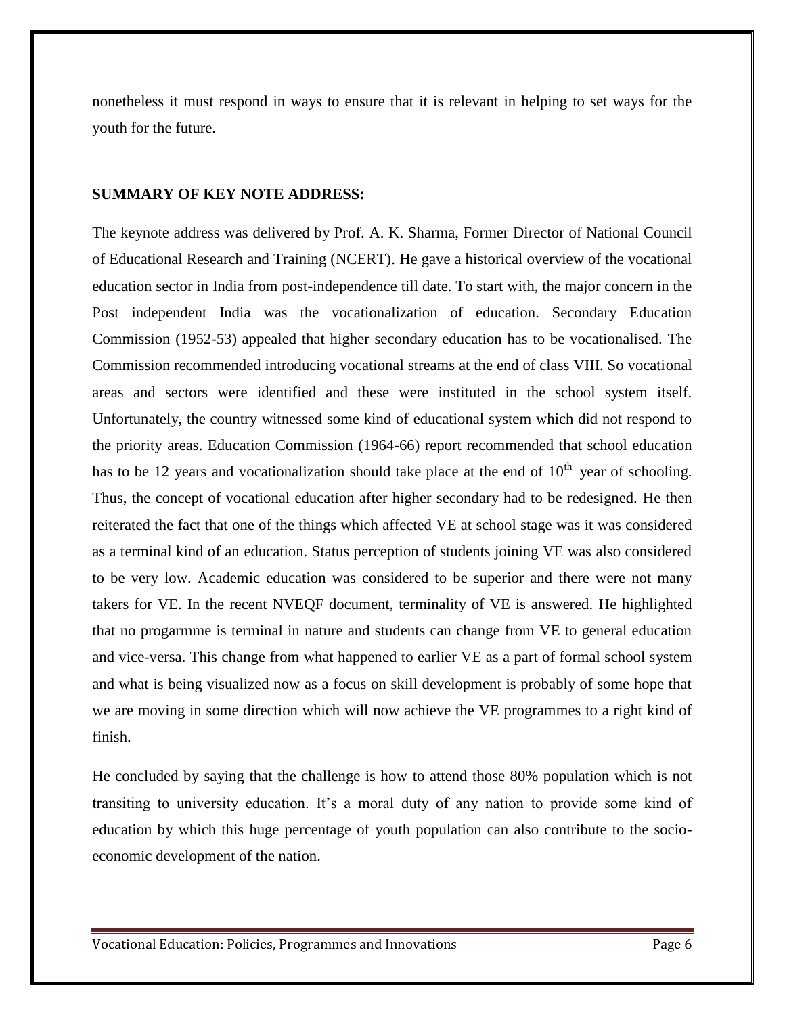nonetheless it must respond in ways to ensure that it is relevant in helping to set ways for the youth for the future.

### **SUMMARY OF KEY NOTE ADDRESS:**

The keynote address was delivered by Prof. A. K. Sharma, Former Director of National Council of Educational Research and Training (NCERT). He gave a historical overview of the vocational education sector in India from post-independence till date. To start with, the major concern in the Post independent India was the vocationalization of education. Secondary Education Commission (1952-53) appealed that higher secondary education has to be vocationalised. The Commission recommended introducing vocational streams at the end of class VIII. So vocational areas and sectors were identified and these were instituted in the school system itself. Unfortunately, the country witnessed some kind of educational system which did not respond to the priority areas. Education Commission (1964-66) report recommended that school education has to be 12 years and vocationalization should take place at the end of  $10<sup>th</sup>$  year of schooling. Thus, the concept of vocational education after higher secondary had to be redesigned. He then reiterated the fact that one of the things which affected VE at school stage was it was considered as a terminal kind of an education. Status perception of students joining VE was also considered to be very low. Academic education was considered to be superior and there were not many takers for VE. In the recent NVEQF document, terminality of VE is answered. He highlighted that no progarmme is terminal in nature and students can change from VE to general education and vice-versa. This change from what happened to earlier VE as a part of formal school system and what is being visualized now as a focus on skill development is probably of some hope that we are moving in some direction which will now achieve the VE programmes to a right kind of finish.

He concluded by saying that the challenge is how to attend those 80% population which is not transiting to university education. It's a moral duty of any nation to provide some kind of education by which this huge percentage of youth population can also contribute to the socioeconomic development of the nation.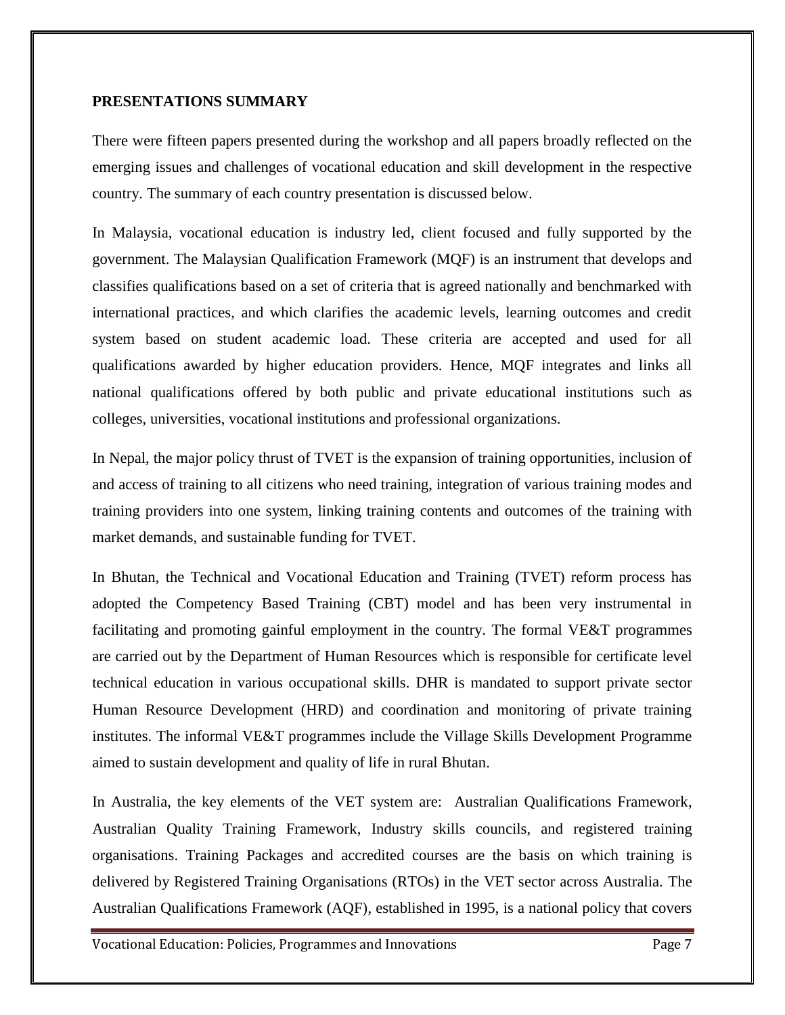## **PRESENTATIONS SUMMARY**

There were fifteen papers presented during the workshop and all papers broadly reflected on the emerging issues and challenges of vocational education and skill development in the respective country. The summary of each country presentation is discussed below.

In Malaysia, vocational education is industry led, client focused and fully supported by the government. The Malaysian Qualification Framework (MQF) is an instrument that develops and classifies qualifications based on a set of criteria that is agreed nationally and benchmarked with international practices, and which clarifies the academic levels, learning outcomes and credit system based on student academic load. These criteria are accepted and used for all qualifications awarded by higher education providers. Hence, MQF integrates and links all national qualifications offered by both public and private educational institutions such as colleges, universities, vocational institutions and professional organizations.

In Nepal, the major policy thrust of TVET is the expansion of training opportunities, inclusion of and access of training to all citizens who need training, integration of various training modes and training providers into one system, linking training contents and outcomes of the training with market demands, and sustainable funding for TVET.

In Bhutan, the Technical and Vocational Education and Training (TVET) reform process has adopted the Competency Based Training (CBT) model and has been very instrumental in facilitating and promoting gainful employment in the country. The formal VE&T programmes are carried out by the Department of Human Resources which is responsible for certificate level technical education in various occupational skills. DHR is mandated to support private sector Human Resource Development (HRD) and coordination and monitoring of private training institutes. The informal VE&T programmes include the Village Skills Development Programme aimed to sustain development and quality of life in rural Bhutan.

In Australia, the key elements of the VET system are: Australian Qualifications Framework, Australian Quality Training Framework, Industry skills councils, and registered training organisations. Training Packages and accredited courses are the basis on which training is delivered by Registered Training Organisations (RTOs) in the VET sector across Australia. The Australian Qualifications Framework (AQF), established in 1995, is a national policy that covers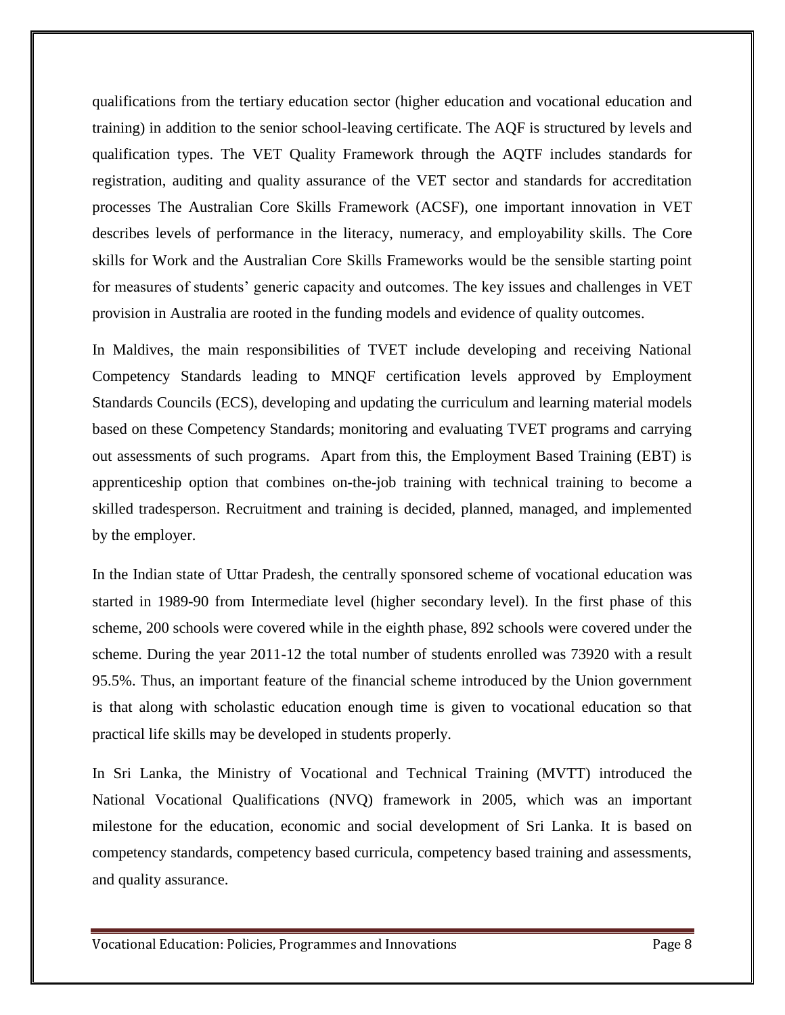qualifications from the tertiary education sector (higher education and vocational education and training) in addition to the senior school-leaving certificate. The AQF is structured by levels and qualification types. The VET Quality Framework through the AQTF includes standards for registration, auditing and quality assurance of the VET sector and standards for accreditation processes The Australian Core Skills Framework (ACSF), one important innovation in VET describes levels of performance in the literacy, numeracy, and employability skills. The Core skills for Work and the Australian Core Skills Frameworks would be the sensible starting point for measures of students' generic capacity and outcomes. The key issues and challenges in VET provision in Australia are rooted in the funding models and evidence of quality outcomes.

In Maldives, the main responsibilities of TVET include developing and receiving National Competency Standards leading to MNQF certification levels approved by Employment Standards Councils (ECS), developing and updating the curriculum and learning material models based on these Competency Standards; monitoring and evaluating TVET programs and carrying out assessments of such programs. Apart from this, the Employment Based Training (EBT) is apprenticeship option that combines on-the-job training with technical training to become a skilled tradesperson. Recruitment and training is decided, planned, managed, and implemented by the employer.

In the Indian state of Uttar Pradesh, the centrally sponsored scheme of vocational education was started in 1989-90 from Intermediate level (higher secondary level). In the first phase of this scheme, 200 schools were covered while in the eighth phase, 892 schools were covered under the scheme. During the year 2011-12 the total number of students enrolled was 73920 with a result 95.5%. Thus, an important feature of the financial scheme introduced by the Union government is that along with scholastic education enough time is given to vocational education so that practical life skills may be developed in students properly.

In Sri Lanka, the Ministry of Vocational and Technical Training (MVTT) introduced the National Vocational Qualifications (NVQ) framework in 2005, which was an important milestone for the education, economic and social development of Sri Lanka. It is based on competency standards, competency based curricula, competency based training and assessments, and quality assurance.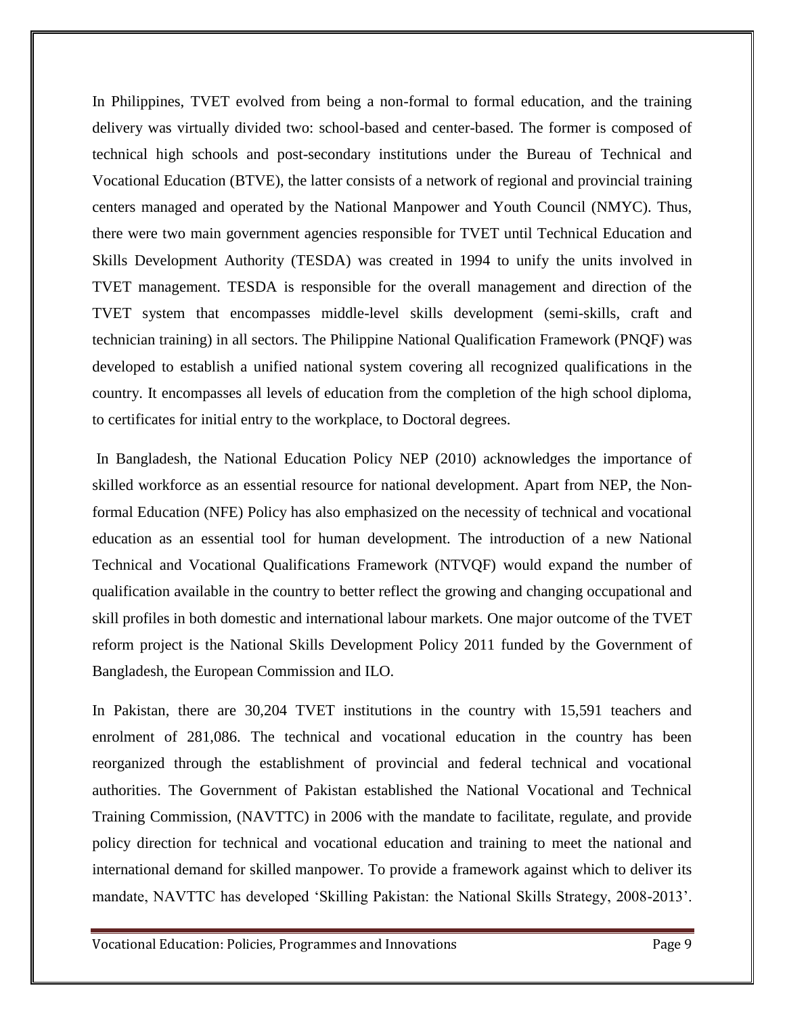In Philippines, TVET evolved from being a non-formal to formal education, and the training delivery was virtually divided two: school-based and center-based. The former is composed of technical high schools and post-secondary institutions under the Bureau of Technical and Vocational Education (BTVE), the latter consists of a network of regional and provincial training centers managed and operated by the National Manpower and Youth Council (NMYC). Thus, there were two main government agencies responsible for TVET until Technical Education and Skills Development Authority (TESDA) was created in 1994 to unify the units involved in TVET management. TESDA is responsible for the overall management and direction of the TVET system that encompasses middle-level skills development (semi-skills, craft and technician training) in all sectors. The Philippine National Qualification Framework (PNQF) was developed to establish a unified national system covering all recognized qualifications in the country. It encompasses all levels of education from the completion of the high school diploma, to certificates for initial entry to the workplace, to Doctoral degrees.

In Bangladesh, the National Education Policy NEP (2010) acknowledges the importance of skilled workforce as an essential resource for national development. Apart from NEP, the Nonformal Education (NFE) Policy has also emphasized on the necessity of technical and vocational education as an essential tool for human development. The introduction of a new National Technical and Vocational Qualifications Framework (NTVQF) would expand the number of qualification available in the country to better reflect the growing and changing occupational and skill profiles in both domestic and international labour markets. One major outcome of the TVET reform project is the National Skills Development Policy 2011 funded by the Government of Bangladesh, the European Commission and ILO.

In Pakistan, there are 30,204 TVET institutions in the country with 15,591 teachers and enrolment of 281,086. The technical and vocational education in the country has been reorganized through the establishment of provincial and federal technical and vocational authorities. The Government of Pakistan established the National Vocational and Technical Training Commission, (NAVTTC) in 2006 with the mandate to facilitate, regulate, and provide policy direction for technical and vocational education and training to meet the national and international demand for skilled manpower. To provide a framework against which to deliver its mandate, NAVTTC has developed 'Skilling Pakistan: the National Skills Strategy, 2008-2013'.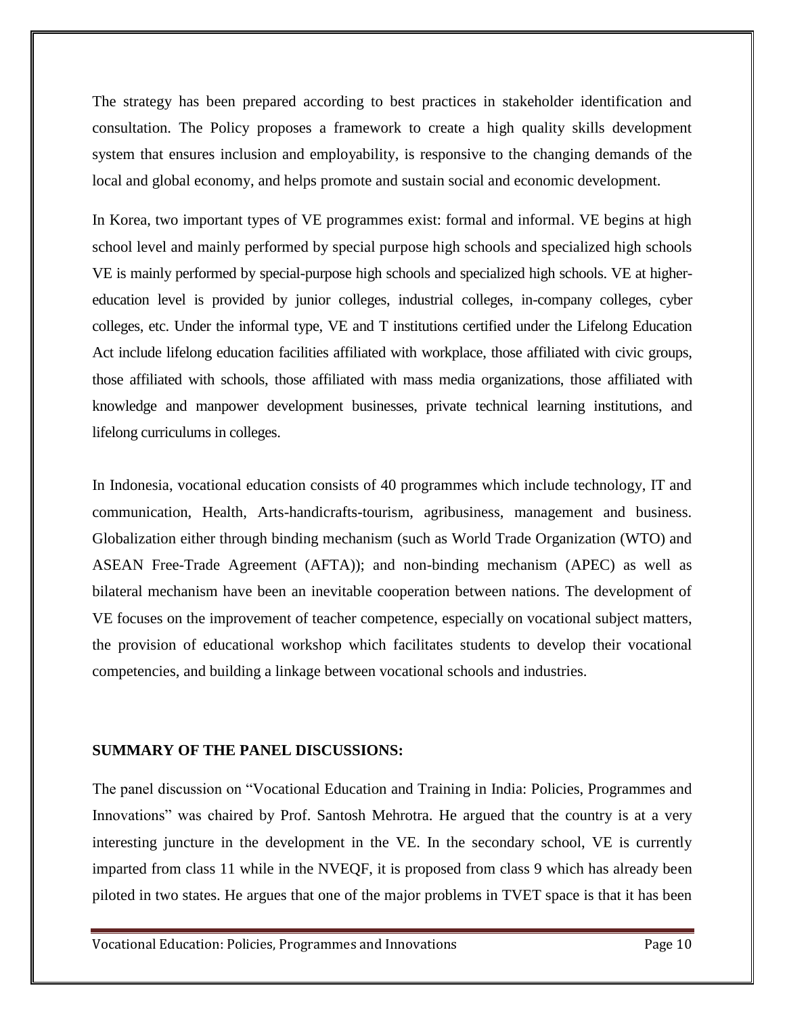The strategy has been prepared according to best practices in stakeholder identification and consultation. The Policy proposes a framework to create a high quality skills development system that ensures inclusion and employability, is responsive to the changing demands of the local and global economy, and helps promote and sustain social and economic development.

In Korea, two important types of VE programmes exist: formal and informal. VE begins at high school level and mainly performed by special purpose high schools and specialized high schools VE is mainly performed by special-purpose high schools and specialized high schools. VE at highereducation level is provided by junior colleges, industrial colleges, in-company colleges, cyber colleges, etc. Under the informal type, VE and T institutions certified under the Lifelong Education Act include lifelong education facilities affiliated with workplace, those affiliated with civic groups, those affiliated with schools, those affiliated with mass media organizations, those affiliated with knowledge and manpower development businesses, private technical learning institutions, and lifelong curriculums in colleges.

In Indonesia, vocational education consists of 40 programmes which include technology, IT and communication, Health, Arts-handicrafts-tourism, agribusiness, management and business. Globalization either through binding mechanism (such as World Trade Organization (WTO) and ASEAN Free-Trade Agreement (AFTA)); and non-binding mechanism (APEC) as well as bilateral mechanism have been an inevitable cooperation between nations. The development of VE focuses on the improvement of teacher competence, especially on vocational subject matters, the provision of educational workshop which facilitates students to develop their vocational competencies, and building a linkage between vocational schools and industries.

### **SUMMARY OF THE PANEL DISCUSSIONS:**

The panel discussion on "Vocational Education and Training in India: Policies, Programmes and Innovations" was chaired by Prof. Santosh Mehrotra. He argued that the country is at a very interesting juncture in the development in the VE. In the secondary school, VE is currently imparted from class 11 while in the NVEQF, it is proposed from class 9 which has already been piloted in two states. He argues that one of the major problems in TVET space is that it has been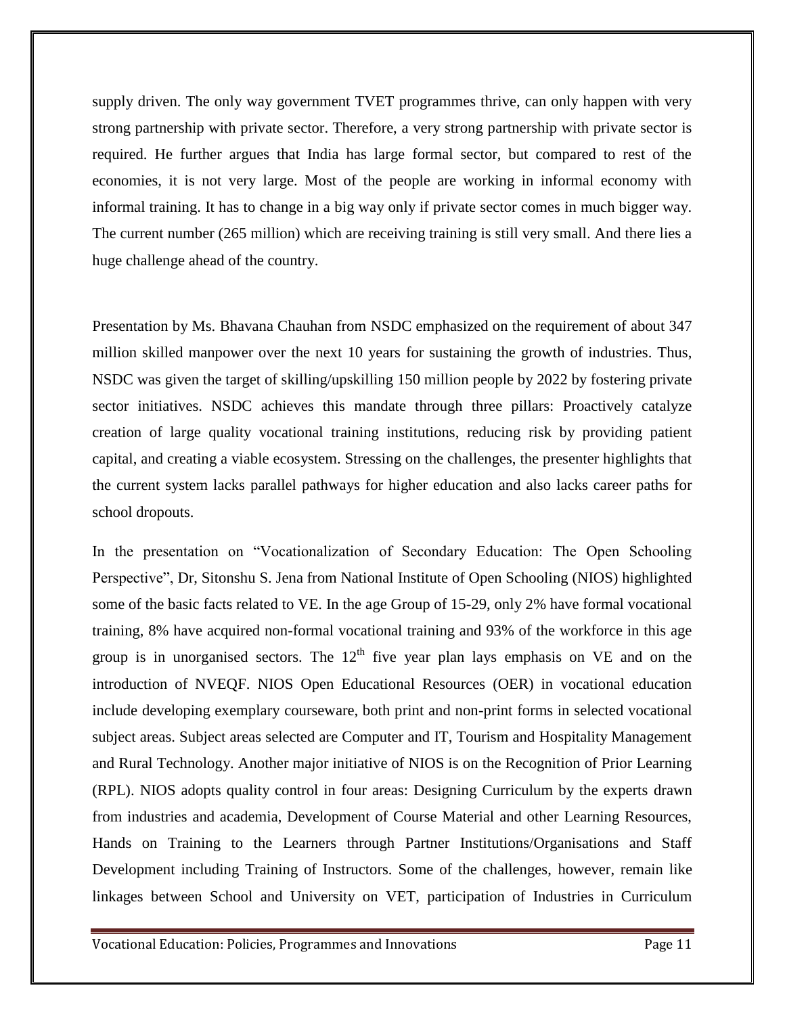supply driven. The only way government TVET programmes thrive, can only happen with very strong partnership with private sector. Therefore, a very strong partnership with private sector is required. He further argues that India has large formal sector, but compared to rest of the economies, it is not very large. Most of the people are working in informal economy with informal training. It has to change in a big way only if private sector comes in much bigger way. The current number (265 million) which are receiving training is still very small. And there lies a huge challenge ahead of the country.

Presentation by Ms. Bhavana Chauhan from NSDC emphasized on the requirement of about 347 million skilled manpower over the next 10 years for sustaining the growth of industries. Thus, NSDC was given the target of skilling/upskilling 150 million people by 2022 by fostering private sector initiatives. NSDC achieves this mandate through three pillars: Proactively catalyze creation of large quality vocational training institutions, reducing risk by providing patient capital, and creating a viable ecosystem. Stressing on the challenges, the presenter highlights that the current system lacks parallel pathways for higher education and also lacks career paths for school dropouts.

In the presentation on "Vocationalization of Secondary Education: The Open Schooling Perspective", Dr, Sitonshu S. Jena from National Institute of Open Schooling (NIOS) highlighted some of the basic facts related to VE. In the age Group of 15-29, only 2% have formal vocational training, 8% have acquired non-formal vocational training and 93% of the workforce in this age group is in unorganised sectors. The  $12<sup>th</sup>$  five year plan lays emphasis on VE and on the introduction of NVEQF. NIOS Open Educational Resources (OER) in vocational education include developing exemplary courseware, both print and non-print forms in selected vocational subject areas. Subject areas selected are Computer and IT, Tourism and Hospitality Management and Rural Technology. Another major initiative of NIOS is on the Recognition of Prior Learning (RPL). NIOS adopts quality control in four areas: Designing Curriculum by the experts drawn from industries and academia, Development of Course Material and other Learning Resources, Hands on Training to the Learners through Partner Institutions/Organisations and Staff Development including Training of Instructors. Some of the challenges, however, remain like linkages between School and University on VET, participation of Industries in Curriculum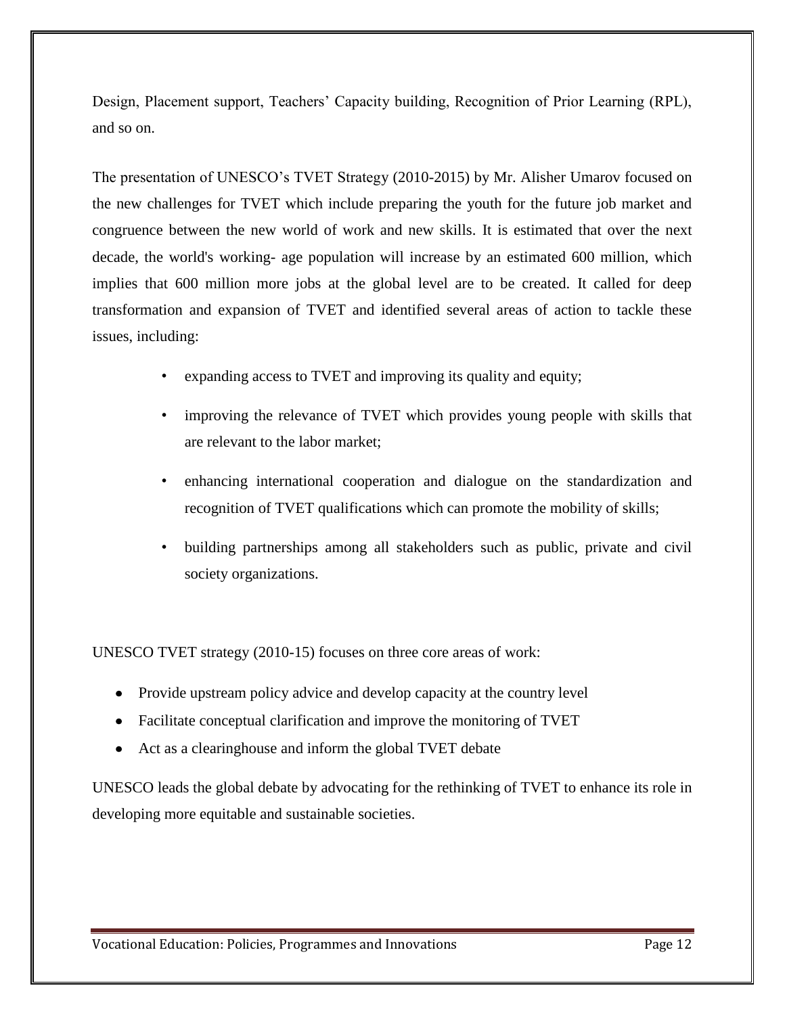Design, Placement support, Teachers' Capacity building, Recognition of Prior Learning (RPL), and so on.

The presentation of UNESCO's TVET Strategy (2010-2015) by Mr. Alisher Umarov focused on the new challenges for TVET which include preparing the youth for the future job market and congruence between the new world of work and new skills. It is estimated that over the next decade, the world's working- age population will increase by an estimated 600 million, which implies that 600 million more jobs at the global level are to be created. It called for deep transformation and expansion of TVET and identified several areas of action to tackle these issues, including:

- expanding access to TVET and improving its quality and equity;
- improving the relevance of TVET which provides young people with skills that are relevant to the labor market;
- enhancing international cooperation and dialogue on the standardization and recognition of TVET qualifications which can promote the mobility of skills;
- building partnerships among all stakeholders such as public, private and civil society organizations.

UNESCO TVET strategy (2010-15) focuses on three core areas of work:

- Provide upstream policy advice and develop capacity at the country level
- Facilitate conceptual clarification and improve the monitoring of TVET
- Act as a clearinghouse and inform the global TVET debate

UNESCO leads the global debate by advocating for the rethinking of TVET to enhance its role in developing more equitable and sustainable societies.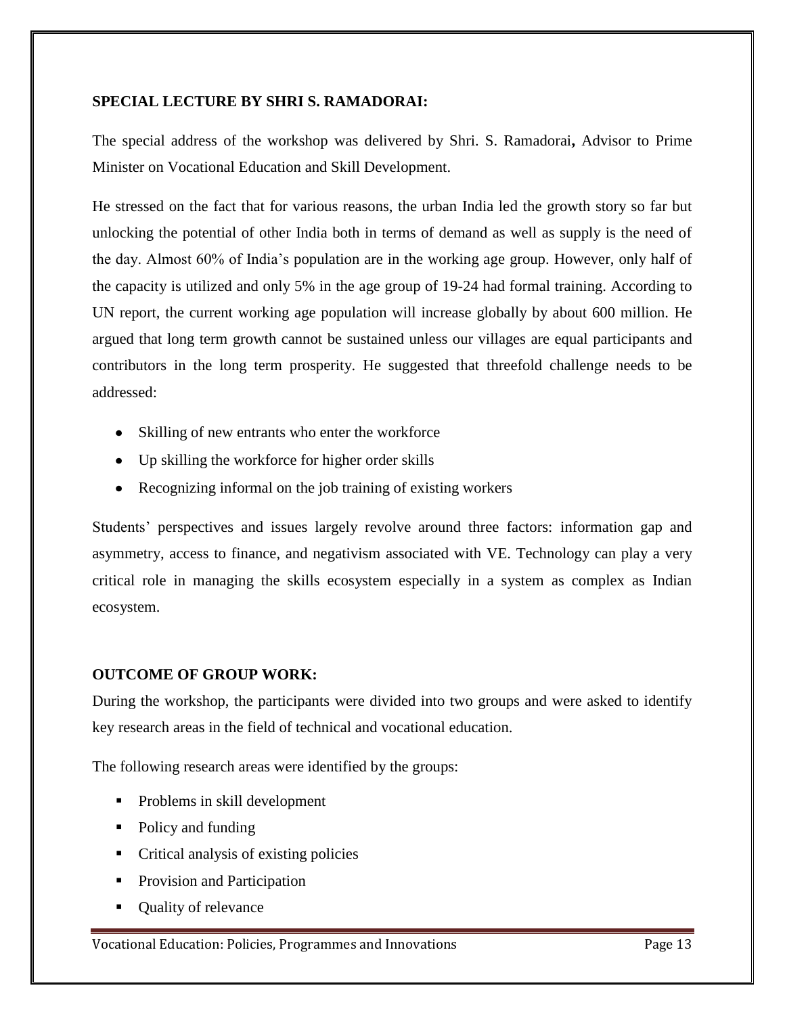# **SPECIAL LECTURE BY SHRI S. RAMADORAI:**

The special address of the workshop was delivered by Shri. S. Ramadorai**,** Advisor to Prime Minister on Vocational Education and Skill Development.

He stressed on the fact that for various reasons, the urban India led the growth story so far but unlocking the potential of other India both in terms of demand as well as supply is the need of the day. Almost 60% of India's population are in the working age group. However, only half of the capacity is utilized and only 5% in the age group of 19-24 had formal training. According to UN report, the current working age population will increase globally by about 600 million. He argued that long term growth cannot be sustained unless our villages are equal participants and contributors in the long term prosperity. He suggested that threefold challenge needs to be addressed:

- Skilling of new entrants who enter the workforce
- Up skilling the workforce for higher order skills
- Recognizing informal on the job training of existing workers

Students' perspectives and issues largely revolve around three factors: information gap and asymmetry, access to finance, and negativism associated with VE. Technology can play a very critical role in managing the skills ecosystem especially in a system as complex as Indian ecosystem.

# **OUTCOME OF GROUP WORK:**

During the workshop, the participants were divided into two groups and were asked to identify key research areas in the field of technical and vocational education.

The following research areas were identified by the groups:

- Problems in skill development
- Policy and funding
- Critical analysis of existing policies
- **Provision and Participation**
- Quality of relevance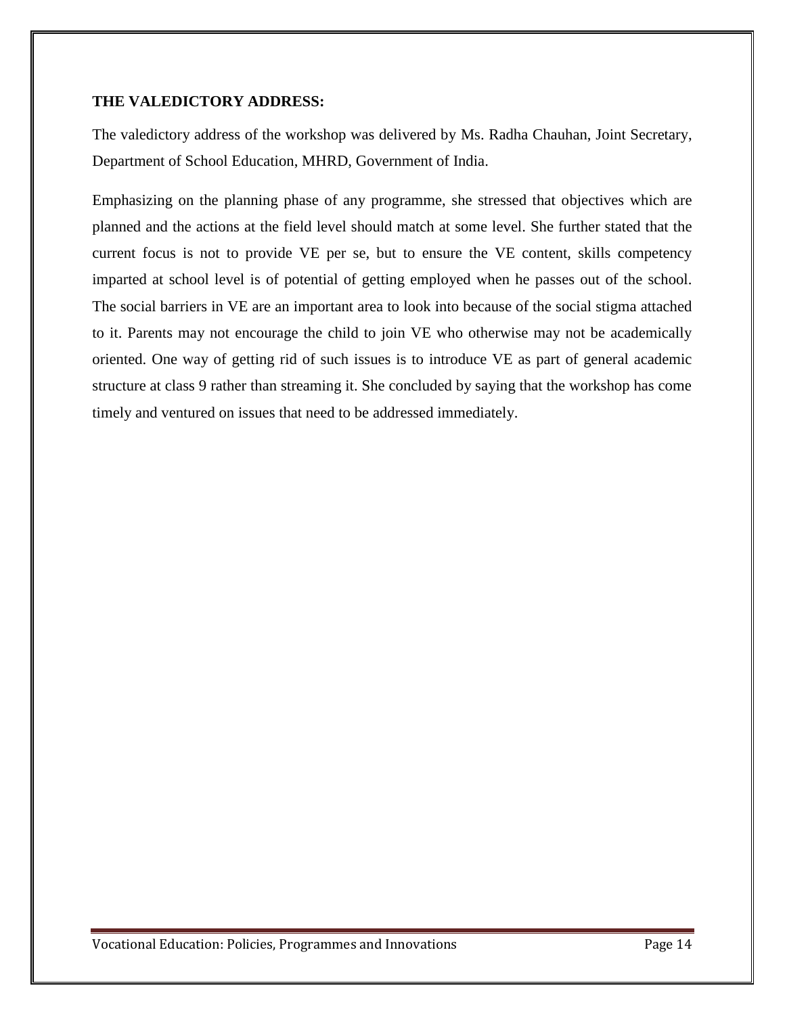# **THE VALEDICTORY ADDRESS:**

The valedictory address of the workshop was delivered by Ms. Radha Chauhan, Joint Secretary, Department of School Education, MHRD, Government of India.

Emphasizing on the planning phase of any programme, she stressed that objectives which are planned and the actions at the field level should match at some level. She further stated that the current focus is not to provide VE per se, but to ensure the VE content, skills competency imparted at school level is of potential of getting employed when he passes out of the school. The social barriers in VE are an important area to look into because of the social stigma attached to it. Parents may not encourage the child to join VE who otherwise may not be academically oriented. One way of getting rid of such issues is to introduce VE as part of general academic structure at class 9 rather than streaming it. She concluded by saying that the workshop has come timely and ventured on issues that need to be addressed immediately.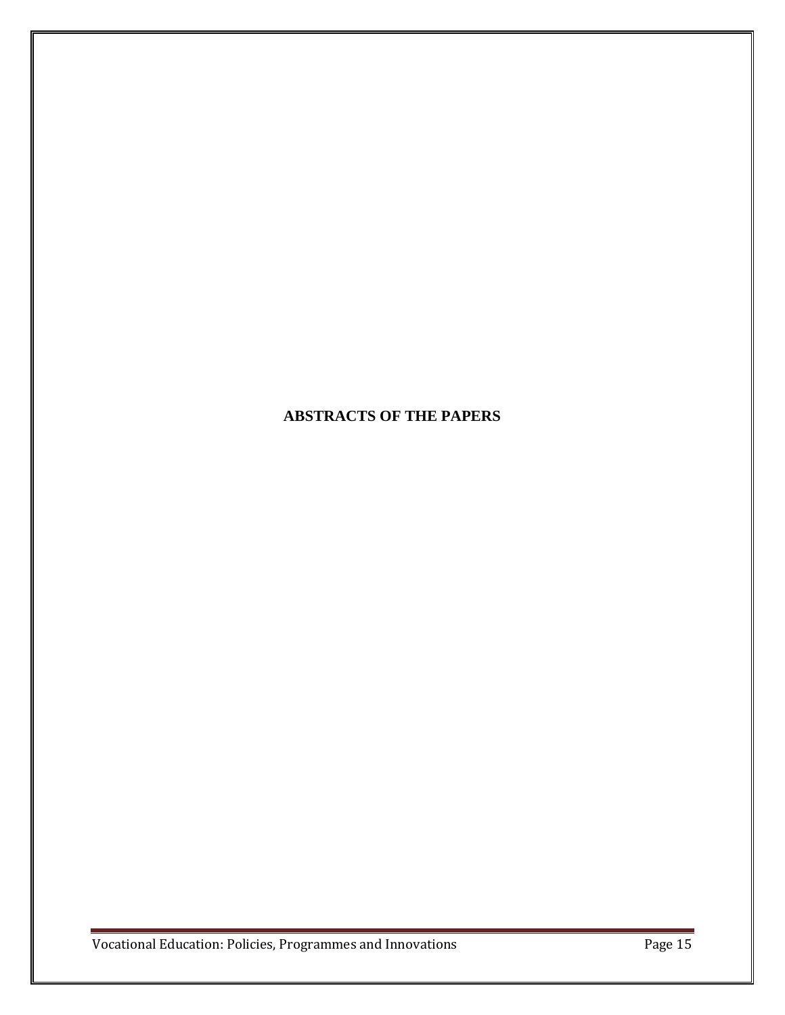# **ABSTRACTS OF THE PAPERS**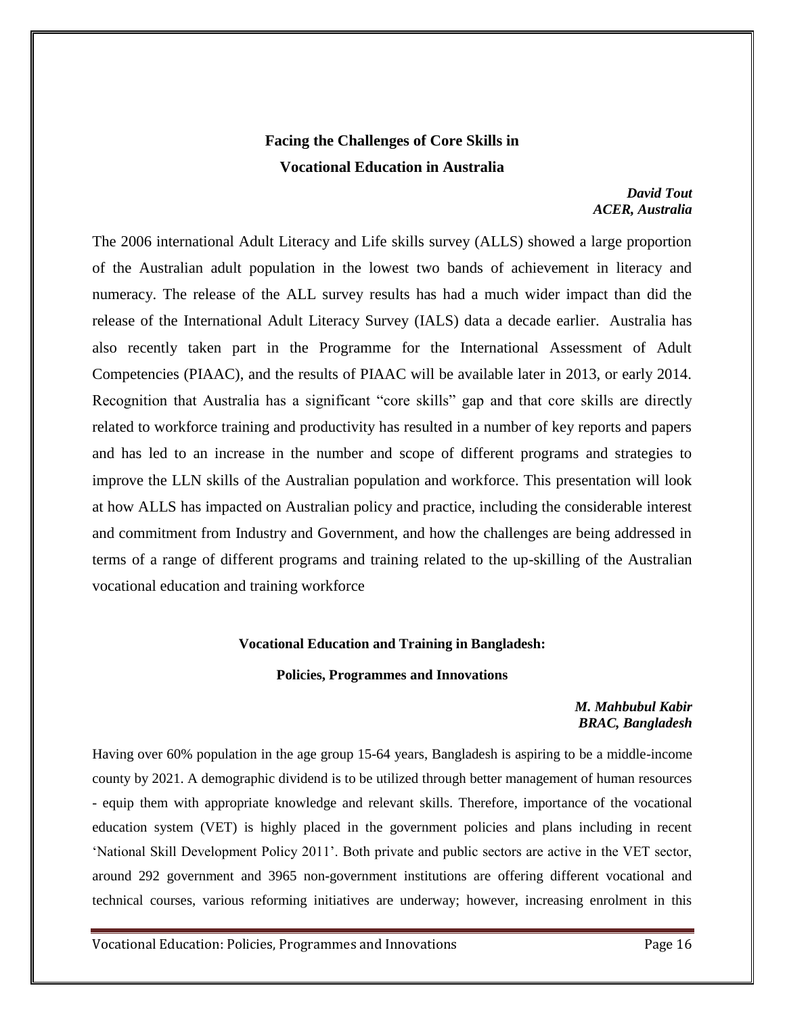# **Facing the Challenges of Core Skills in Vocational Education in Australia**

#### *David Tout ACER, Australia*

The 2006 international Adult Literacy and Life skills survey (ALLS) showed a large proportion of the Australian adult population in the lowest two bands of achievement in literacy and numeracy. The release of the ALL survey results has had a much wider impact than did the release of the International Adult Literacy Survey (IALS) data a decade earlier. Australia has also recently taken part in the Programme for the International Assessment of Adult Competencies (PIAAC), and the results of PIAAC will be available later in 2013, or early 2014. Recognition that Australia has a significant "core skills" gap and that core skills are directly related to workforce training and productivity has resulted in a number of key reports and papers and has led to an increase in the number and scope of different programs and strategies to improve the LLN skills of the Australian population and workforce. This presentation will look at how ALLS has impacted on Australian policy and practice, including the considerable interest and commitment from Industry and Government, and how the challenges are being addressed in terms of a range of different programs and training related to the up-skilling of the Australian vocational education and training workforce

#### **Vocational Education and Training in Bangladesh:**

#### **Policies, Programmes and Innovations**

### *M. Mahbubul Kabir BRAC, Bangladesh*

Having over 60% population in the age group 15-64 years, Bangladesh is aspiring to be a middle-income county by 2021. A demographic dividend is to be utilized through better management of human resources - equip them with appropriate knowledge and relevant skills. Therefore, importance of the vocational education system (VET) is highly placed in the government policies and plans including in recent 'National Skill Development Policy 2011'. Both private and public sectors are active in the VET sector, around 292 government and 3965 non-government institutions are offering different vocational and technical courses, various reforming initiatives are underway; however, increasing enrolment in this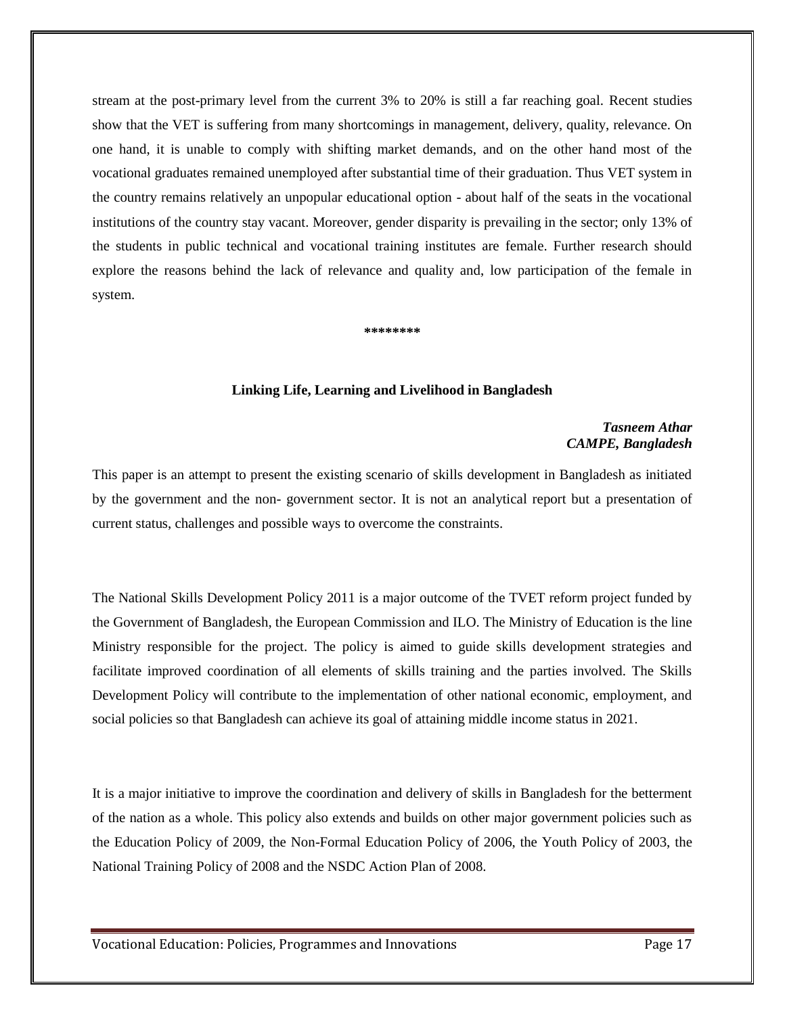stream at the post-primary level from the current 3% to 20% is still a far reaching goal. Recent studies show that the VET is suffering from many shortcomings in management, delivery, quality, relevance. On one hand, it is unable to comply with shifting market demands, and on the other hand most of the vocational graduates remained unemployed after substantial time of their graduation. Thus VET system in the country remains relatively an unpopular educational option - about half of the seats in the vocational institutions of the country stay vacant. Moreover, gender disparity is prevailing in the sector; only 13% of the students in public technical and vocational training institutes are female. Further research should explore the reasons behind the lack of relevance and quality and, low participation of the female in system.

#### **\*\*\*\*\*\*\*\***

#### **Linking Life, Learning and Livelihood in Bangladesh**

#### *Tasneem Athar CAMPE, Bangladesh*

This paper is an attempt to present the existing scenario of skills development in Bangladesh as initiated by the government and the non- government sector. It is not an analytical report but a presentation of current status, challenges and possible ways to overcome the constraints.

The National Skills Development Policy 2011 is a major outcome of the TVET reform project funded by the Government of Bangladesh, the European Commission and ILO. The Ministry of Education is the line Ministry responsible for the project. The policy is aimed to guide skills development strategies and facilitate improved coordination of all elements of skills training and the parties involved. The Skills Development Policy will contribute to the implementation of other national economic, employment, and social policies so that Bangladesh can achieve its goal of attaining middle income status in 2021.

It is a major initiative to improve the coordination and delivery of skills in Bangladesh for the betterment of the nation as a whole. This policy also extends and builds on other major government policies such as the Education Policy of 2009, the Non-Formal Education Policy of 2006, the Youth Policy of 2003, the National Training Policy of 2008 and the NSDC Action Plan of 2008.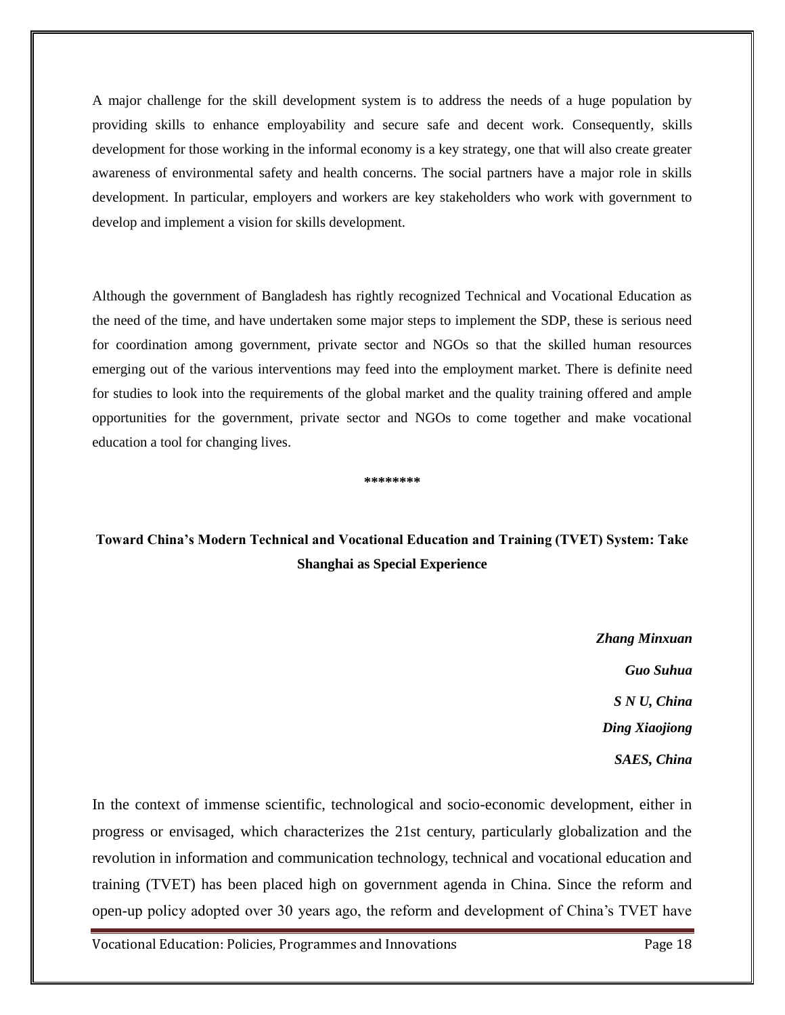A major challenge for the skill development system is to address the needs of a huge population by providing skills to enhance employability and secure safe and decent work. Consequently, skills development for those working in the informal economy is a key strategy, one that will also create greater awareness of environmental safety and health concerns. The social partners have a major role in skills development. In particular, employers and workers are key stakeholders who work with government to develop and implement a vision for skills development.

Although the government of Bangladesh has rightly recognized Technical and Vocational Education as the need of the time, and have undertaken some major steps to implement the SDP, these is serious need for coordination among government, private sector and NGOs so that the skilled human resources emerging out of the various interventions may feed into the employment market. There is definite need for studies to look into the requirements of the global market and the quality training offered and ample opportunities for the government, private sector and NGOs to come together and make vocational education a tool for changing lives.

**\*\*\*\*\*\*\*\***

# **Toward China's Modern Technical and Vocational Education and Training (TVET) System: Take Shanghai as Special Experience**

*Zhang Minxuan Guo Suhua S N U, China Ding Xiaojiong SAES, China*

In the context of immense scientific, technological and socio-economic development, either in progress or envisaged, which characterizes the 21st century, particularly globalization and the revolution in information and communication technology, technical and vocational education and training (TVET) has been placed high on government agenda in China. Since the reform and open-up policy adopted over 30 years ago, the reform and development of China's TVET have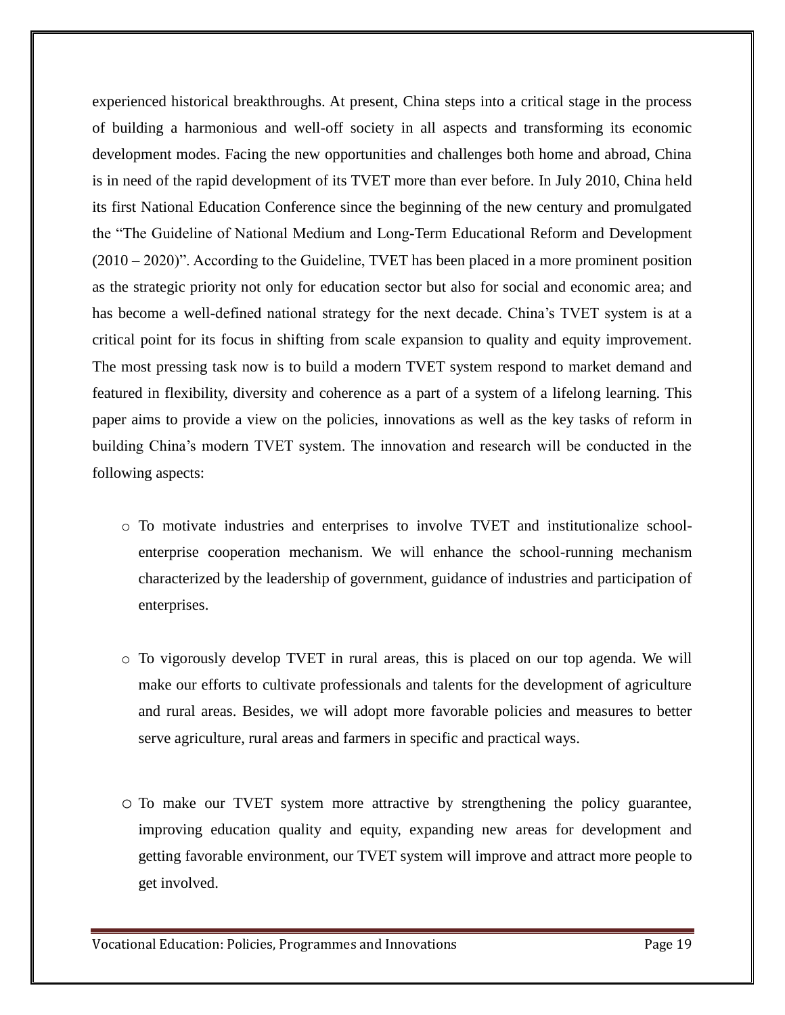experienced historical breakthroughs. At present, China steps into a critical stage in the process of building a harmonious and well-off society in all aspects and transforming its economic development modes. Facing the new opportunities and challenges both home and abroad, China is in need of the rapid development of its TVET more than ever before. In July 2010, China held its first National Education Conference since the beginning of the new century and promulgated the "The Guideline of National Medium and Long-Term Educational Reform and Development (2010 – 2020)". According to the Guideline, TVET has been placed in a more prominent position as the strategic priority not only for education sector but also for social and economic area; and has become a well-defined national strategy for the next decade. China's TVET system is at a critical point for its focus in shifting from scale expansion to quality and equity improvement. The most pressing task now is to build a modern TVET system respond to market demand and featured in flexibility, diversity and coherence as a part of a system of a lifelong learning. This paper aims to provide a view on the policies, innovations as well as the key tasks of reform in building China's modern TVET system. The innovation and research will be conducted in the following aspects:

- o To motivate industries and enterprises to involve TVET and institutionalize schoolenterprise cooperation mechanism. We will enhance the school-running mechanism characterized by the leadership of government, guidance of industries and participation of enterprises.
- o To vigorously develop TVET in rural areas, this is placed on our top agenda. We will make our efforts to cultivate professionals and talents for the development of agriculture and rural areas. Besides, we will adopt more favorable policies and measures to better serve agriculture, rural areas and farmers in specific and practical ways.
- o To make our TVET system more attractive by strengthening the policy guarantee, improving education quality and equity, expanding new areas for development and getting favorable environment, our TVET system will improve and attract more people to get involved.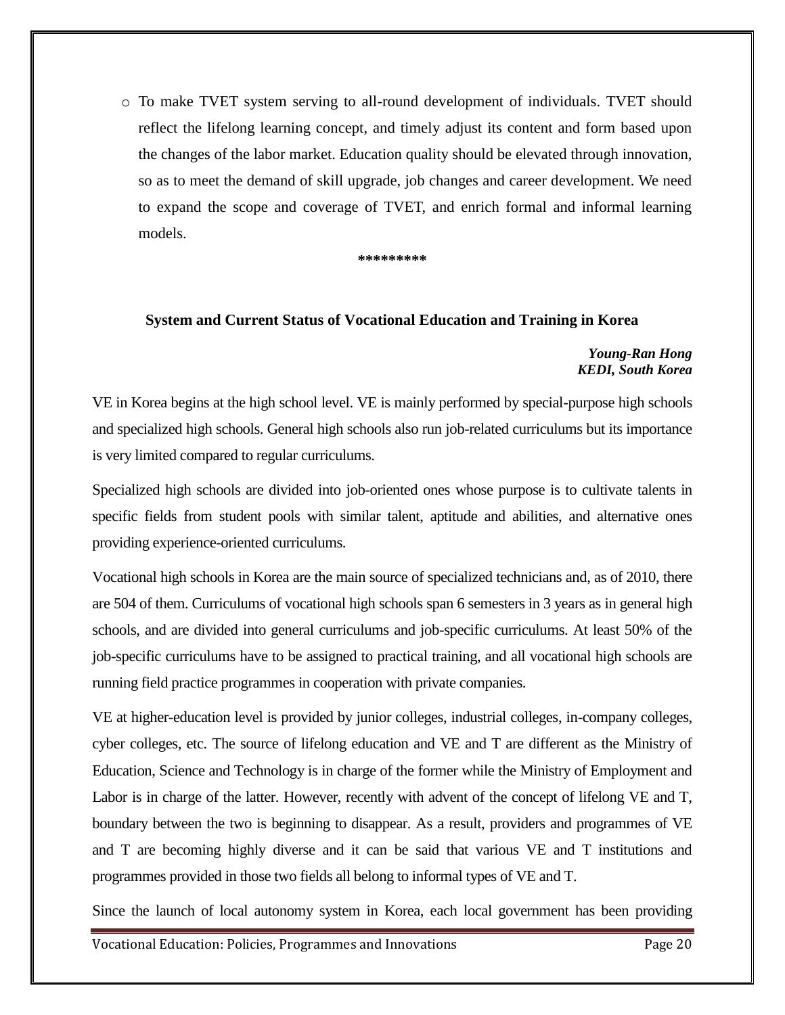o To make TVET system serving to all-round development of individuals. TVET should reflect the lifelong learning concept, and timely adjust its content and form based upon the changes of the labor market. Education quality should be elevated through innovation, so as to meet the demand of skill upgrade, job changes and career development. We need to expand the scope and coverage of TVET, and enrich formal and informal learning models.

**\*\*\*\*\*\*\*\*\***

### **System and Current Status of Vocational Education and Training in Korea**

### *Young-Ran Hong KEDI, South Korea*

VE in Korea begins at the high school level. VE is mainly performed by special-purpose high schools and specialized high schools. General high schools also run job-related curriculums but its importance is very limited compared to regular curriculums.

Specialized high schools are divided into job-oriented ones whose purpose is to cultivate talents in specific fields from student pools with similar talent, aptitude and abilities, and alternative ones providing experience-oriented curriculums.

Vocational high schools in Korea are the main source of specialized technicians and, as of 2010, there are 504 of them. Curriculums of vocational high schools span 6 semesters in 3 years as in general high schools, and are divided into general curriculums and job-specific curriculums. At least 50% of the job-specific curriculums have to be assigned to practical training, and all vocational high schools are running field practice programmes in cooperation with private companies.

VE at higher-education level is provided by junior colleges, industrial colleges, in-company colleges, cyber colleges, etc. The source of lifelong education and VE and T are different as the Ministry of Education, Science and Technology is in charge of the former while the Ministry of Employment and Labor is in charge of the latter. However, recently with advent of the concept of lifelong VE and T, boundary between the two is beginning to disappear. As a result, providers and programmes of VE and T are becoming highly diverse and it can be said that various VE and T institutions and programmes provided in those two fields all belong to informal types of VE and T.

Since the launch of local autonomy system in Korea, each local government has been providing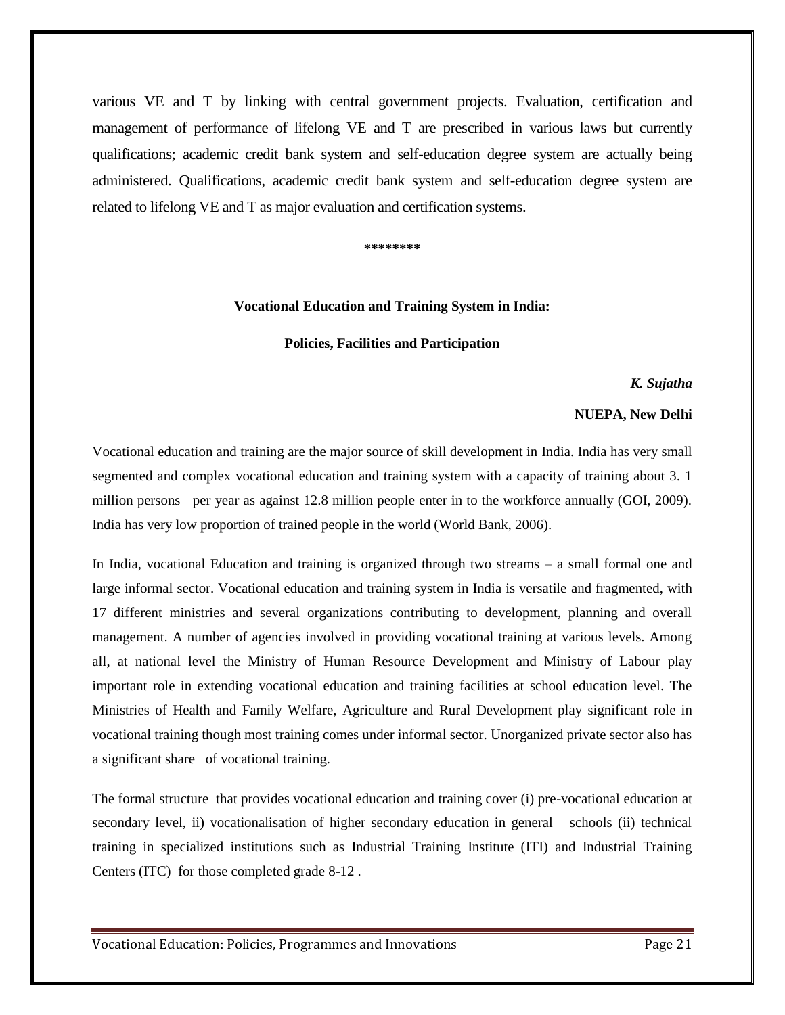various VE and T by linking with central government projects. Evaluation, certification and management of performance of lifelong VE and T are prescribed in various laws but currently qualifications; academic credit bank system and self-education degree system are actually being administered. Qualifications, academic credit bank system and self-education degree system are related to lifelong VE and T as major evaluation and certification systems.

**\*\*\*\*\*\*\*\***

#### **Vocational Education and Training System in India:**

#### **Policies, Facilities and Participation**

*K. Sujatha*

#### **NUEPA, New Delhi**

Vocational education and training are the major source of skill development in India. India has very small segmented and complex vocational education and training system with a capacity of training about 3. 1 million persons per year as against 12.8 million people enter in to the workforce annually (GOI, 2009). India has very low proportion of trained people in the world (World Bank, 2006).

In India, vocational Education and training is organized through two streams – a small formal one and large informal sector. Vocational education and training system in India is versatile and fragmented, with 17 different ministries and several organizations contributing to development, planning and overall management. A number of agencies involved in providing vocational training at various levels. Among all, at national level the Ministry of Human Resource Development and Ministry of Labour play important role in extending vocational education and training facilities at school education level. The Ministries of Health and Family Welfare, Agriculture and Rural Development play significant role in vocational training though most training comes under informal sector. Unorganized private sector also has a significant share of vocational training.

The formal structure that provides vocational education and training cover (i) pre-vocational education at secondary level, ii) vocationalisation of higher secondary education in general schools (ii) technical training in specialized institutions such as Industrial Training Institute (ITI) and Industrial Training Centers (ITC) for those completed grade 8-12 .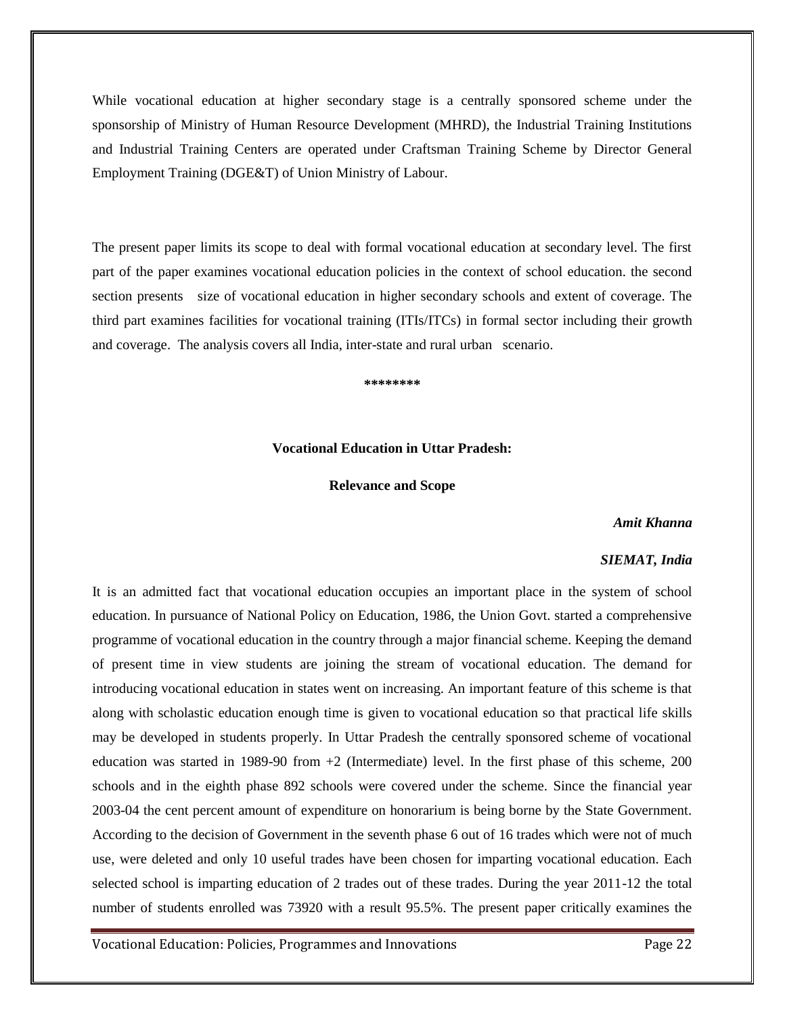While vocational education at higher secondary stage is a centrally sponsored scheme under the sponsorship of Ministry of Human Resource Development (MHRD), the Industrial Training Institutions and Industrial Training Centers are operated under Craftsman Training Scheme by Director General Employment Training (DGE&T) of Union Ministry of Labour.

The present paper limits its scope to deal with formal vocational education at secondary level. The first part of the paper examines vocational education policies in the context of school education. the second section presents size of vocational education in higher secondary schools and extent of coverage. The third part examines facilities for vocational training (ITIs/ITCs) in formal sector including their growth and coverage. The analysis covers all India, inter-state and rural urban scenario.

**\*\*\*\*\*\*\*\***

## **Vocational Education in Uttar Pradesh:**

#### **Relevance and Scope**

#### *Amit Khanna*

#### *SIEMAT, India*

It is an admitted fact that vocational education occupies an important place in the system of school education. In pursuance of National Policy on Education, 1986, the Union Govt. started a comprehensive programme of vocational education in the country through a major financial scheme. Keeping the demand of present time in view students are joining the stream of vocational education. The demand for introducing vocational education in states went on increasing. An important feature of this scheme is that along with scholastic education enough time is given to vocational education so that practical life skills may be developed in students properly. In Uttar Pradesh the centrally sponsored scheme of vocational education was started in 1989-90 from +2 (Intermediate) level. In the first phase of this scheme, 200 schools and in the eighth phase 892 schools were covered under the scheme. Since the financial year 2003-04 the cent percent amount of expenditure on honorarium is being borne by the State Government. According to the decision of Government in the seventh phase 6 out of 16 trades which were not of much use, were deleted and only 10 useful trades have been chosen for imparting vocational education. Each selected school is imparting education of 2 trades out of these trades. During the year 2011-12 the total number of students enrolled was 73920 with a result 95.5%. The present paper critically examines the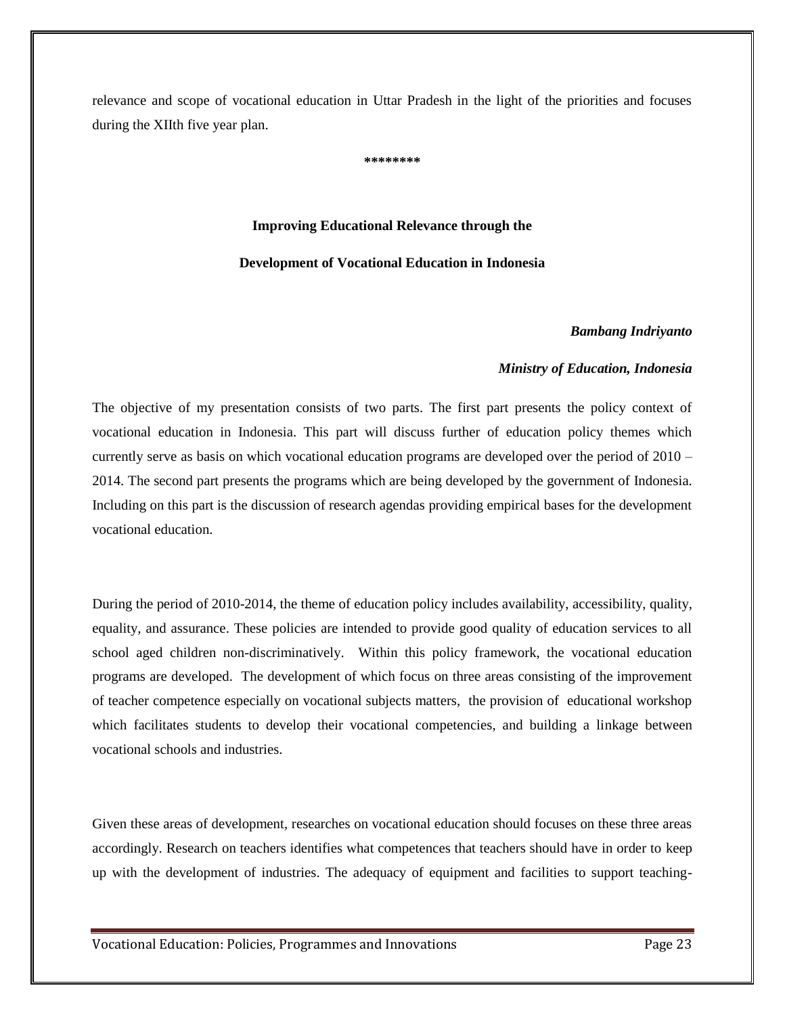relevance and scope of vocational education in Uttar Pradesh in the light of the priorities and focuses during the XIIth five year plan.

**\*\*\*\*\*\*\*\***

# **Improving Educational Relevance through the Development of Vocational Education in Indonesia**

## *Bambang Indriyanto*

## *Ministry of Education, Indonesia*

The objective of my presentation consists of two parts. The first part presents the policy context of vocational education in Indonesia. This part will discuss further of education policy themes which currently serve as basis on which vocational education programs are developed over the period of 2010 – 2014. The second part presents the programs which are being developed by the government of Indonesia. Including on this part is the discussion of research agendas providing empirical bases for the development vocational education.

During the period of 2010-2014, the theme of education policy includes availability, accessibility, quality, equality, and assurance. These policies are intended to provide good quality of education services to all school aged children non-discriminatively. Within this policy framework, the vocational education programs are developed. The development of which focus on three areas consisting of the improvement of teacher competence especially on vocational subjects matters, the provision of educational workshop which facilitates students to develop their vocational competencies, and building a linkage between vocational schools and industries.

Given these areas of development, researches on vocational education should focuses on these three areas accordingly. Research on teachers identifies what competences that teachers should have in order to keep up with the development of industries. The adequacy of equipment and facilities to support teaching-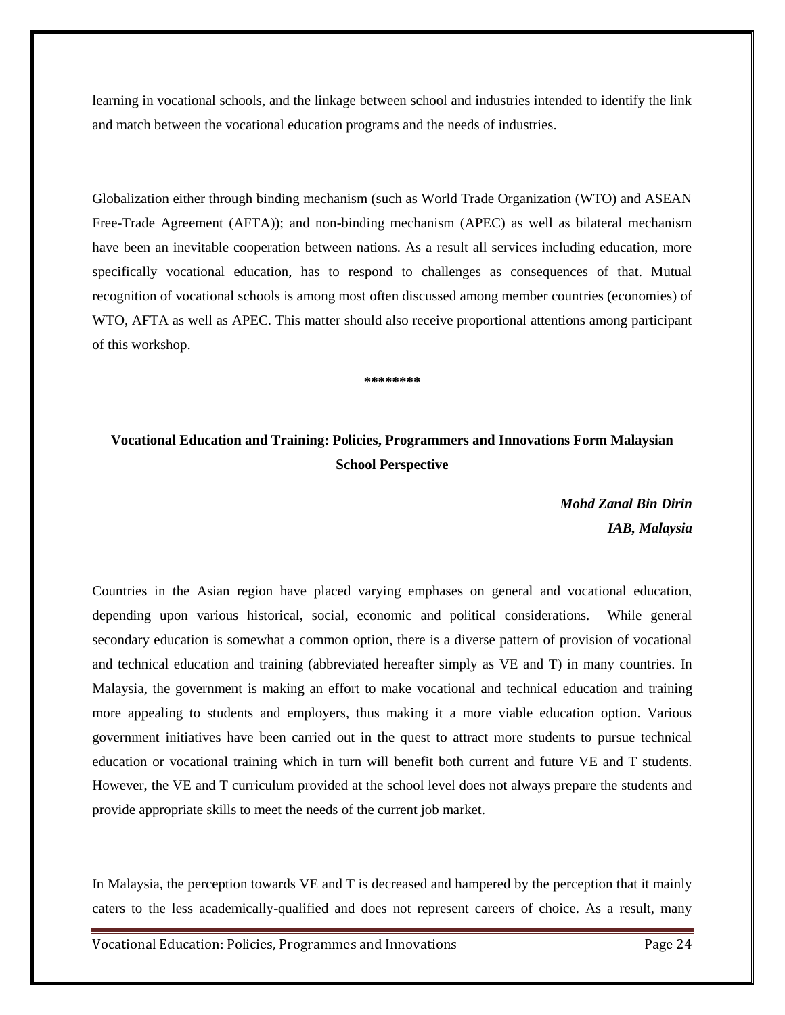learning in vocational schools, and the linkage between school and industries intended to identify the link and match between the vocational education programs and the needs of industries.

Globalization either through binding mechanism (such as World Trade Organization (WTO) and ASEAN Free-Trade Agreement (AFTA)); and non-binding mechanism (APEC) as well as bilateral mechanism have been an inevitable cooperation between nations. As a result all services including education, more specifically vocational education, has to respond to challenges as consequences of that. Mutual recognition of vocational schools is among most often discussed among member countries (economies) of WTO, AFTA as well as APEC. This matter should also receive proportional attentions among participant of this workshop.

**\*\*\*\*\*\*\*\***

# **Vocational Education and Training: Policies, Programmers and Innovations Form Malaysian School Perspective**

*Mohd Zanal Bin Dirin IAB, Malaysia*

Countries in the Asian region have placed varying emphases on general and vocational education, depending upon various historical, social, economic and political considerations. While general secondary education is somewhat a common option, there is a diverse pattern of provision of vocational and technical education and training (abbreviated hereafter simply as VE and T) in many countries. In Malaysia, the government is making an effort to make vocational and technical education and training more appealing to students and employers, thus making it a more viable education option. Various government initiatives have been carried out in the quest to attract more students to pursue technical education or vocational training which in turn will benefit both current and future VE and T students. However, the VE and T curriculum provided at the school level does not always prepare the students and provide appropriate skills to meet the needs of the current job market.

In Malaysia, the perception towards VE and T is decreased and hampered by the perception that it mainly caters to the less academically-qualified and does not represent careers of choice. As a result, many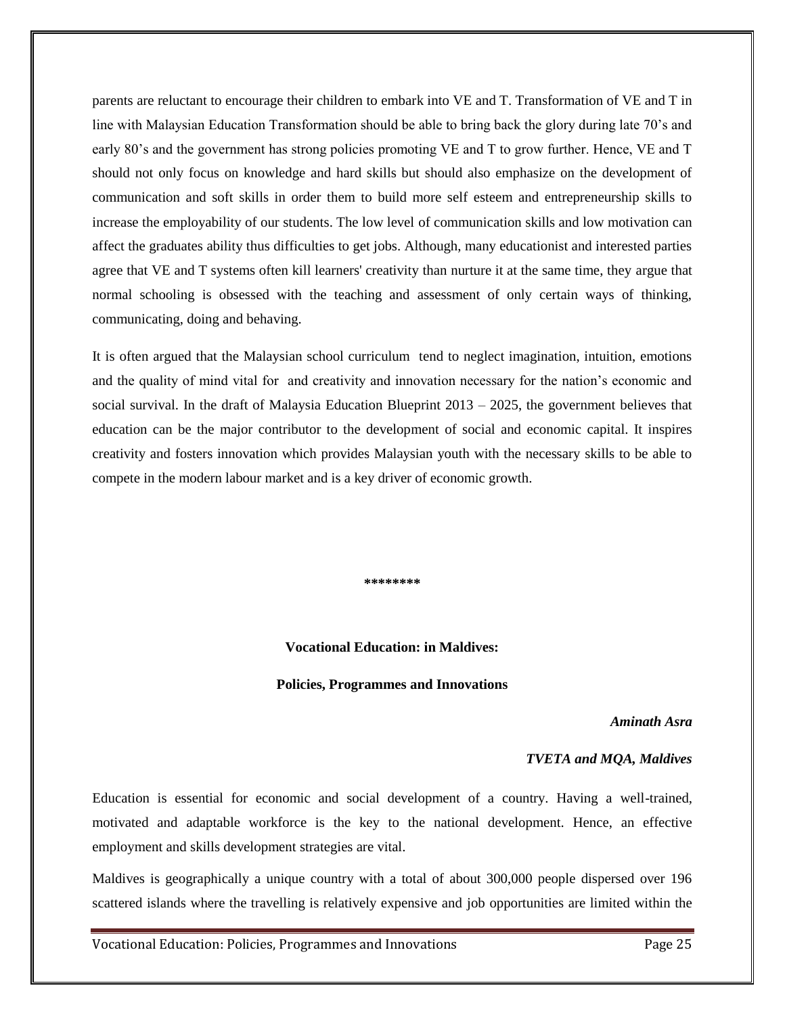parents are reluctant to encourage their children to embark into VE and T. Transformation of VE and T in line with Malaysian Education Transformation should be able to bring back the glory during late 70's and early 80's and the government has strong policies promoting VE and T to grow further. Hence, VE and T should not only focus on knowledge and hard skills but should also emphasize on the development of communication and soft skills in order them to build more self esteem and entrepreneurship skills to increase the employability of our students. The low level of communication skills and low motivation can affect the graduates ability thus difficulties to get jobs. Although, many educationist and interested parties agree that VE and T systems often kill learners' creativity than nurture it at the same time, they argue that normal schooling is obsessed with the teaching and assessment of only certain ways of thinking, communicating, doing and behaving.

It is often argued that the Malaysian school curriculum tend to neglect imagination, intuition, emotions and the quality of mind vital for and creativity and innovation necessary for the nation's economic and social survival. In the draft of Malaysia Education Blueprint  $2013 - 2025$ , the government believes that education can be the major contributor to the development of social and economic capital. It inspires creativity and fosters innovation which provides Malaysian youth with the necessary skills to be able to compete in the modern labour market and is a key driver of economic growth.

**\*\*\*\*\*\*\*\***

#### **Vocational Education: in Maldives:**

#### **Policies, Programmes and Innovations**

#### *Aminath Asra*

#### *TVETA and MQA, Maldives*

Education is essential for economic and social development of a country. Having a well-trained, motivated and adaptable workforce is the key to the national development. Hence, an effective employment and skills development strategies are vital.

Maldives is geographically a unique country with a total of about 300,000 people dispersed over 196 scattered islands where the travelling is relatively expensive and job opportunities are limited within the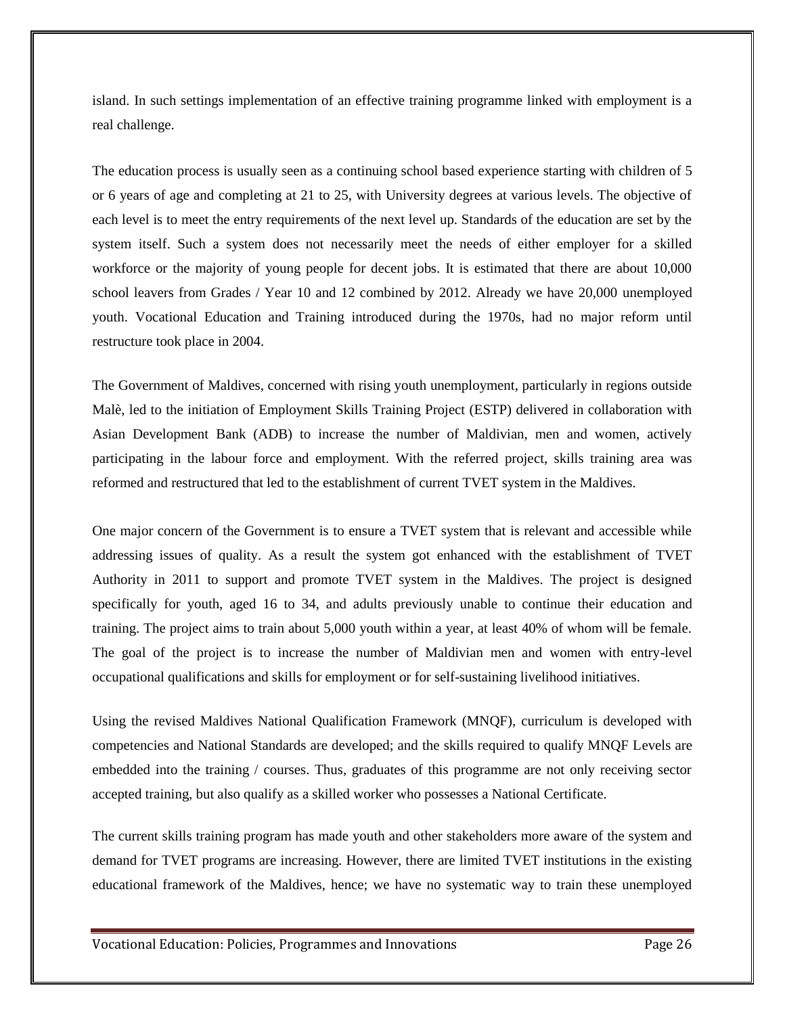island. In such settings implementation of an effective training programme linked with employment is a real challenge.

The education process is usually seen as a continuing school based experience starting with children of 5 or 6 years of age and completing at 21 to 25, with University degrees at various levels. The objective of each level is to meet the entry requirements of the next level up. Standards of the education are set by the system itself. Such a system does not necessarily meet the needs of either employer for a skilled workforce or the majority of young people for decent jobs. It is estimated that there are about 10,000 school leavers from Grades / Year 10 and 12 combined by 2012. Already we have 20,000 unemployed youth. Vocational Education and Training introduced during the 1970s, had no major reform until restructure took place in 2004.

The Government of Maldives, concerned with rising youth unemployment, particularly in regions outside Malè, led to the initiation of Employment Skills Training Project (ESTP) delivered in collaboration with Asian Development Bank (ADB) to increase the number of Maldivian, men and women, actively participating in the labour force and employment. With the referred project, skills training area was reformed and restructured that led to the establishment of current TVET system in the Maldives.

One major concern of the Government is to ensure a TVET system that is relevant and accessible while addressing issues of quality. As a result the system got enhanced with the establishment of TVET Authority in 2011 to support and promote TVET system in the Maldives. The project is designed specifically for youth, aged 16 to 34, and adults previously unable to continue their education and training. The project aims to train about 5,000 youth within a year, at least 40% of whom will be female. The goal of the project is to increase the number of Maldivian men and women with entry-level occupational qualifications and skills for employment or for self-sustaining livelihood initiatives.

Using the revised Maldives National Qualification Framework (MNQF), curriculum is developed with competencies and National Standards are developed; and the skills required to qualify MNQF Levels are embedded into the training / courses. Thus, graduates of this programme are not only receiving sector accepted training, but also qualify as a skilled worker who possesses a National Certificate.

The current skills training program has made youth and other stakeholders more aware of the system and demand for TVET programs are increasing. However, there are limited TVET institutions in the existing educational framework of the Maldives, hence; we have no systematic way to train these unemployed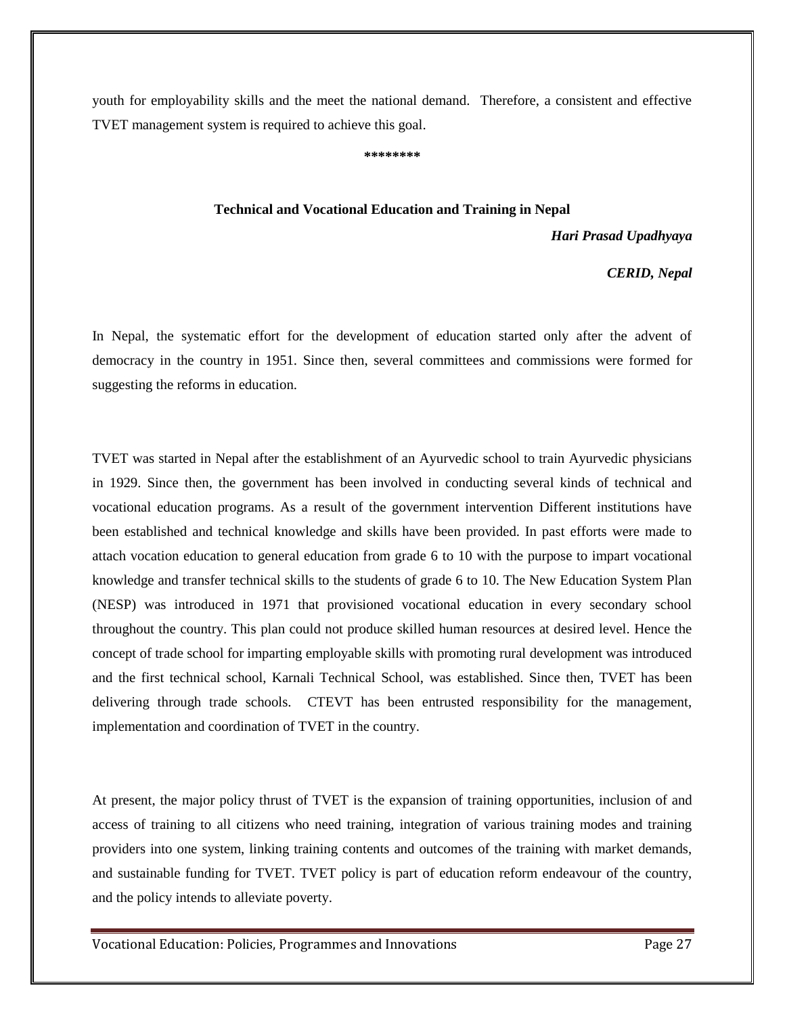youth for employability skills and the meet the national demand. Therefore, a consistent and effective TVET management system is required to achieve this goal.

**\*\*\*\*\*\*\*\***

#### **Technical and Vocational Education and Training in Nepal**

*Hari Prasad Upadhyaya*

 *CERID, Nepal*

In Nepal, the systematic effort for the development of education started only after the advent of democracy in the country in 1951. Since then, several committees and commissions were formed for suggesting the reforms in education.

TVET was started in Nepal after the establishment of an Ayurvedic school to train Ayurvedic physicians in 1929. Since then, the government has been involved in conducting several kinds of technical and vocational education programs. As a result of the government intervention Different institutions have been established and technical knowledge and skills have been provided. In past efforts were made to attach vocation education to general education from grade 6 to 10 with the purpose to impart vocational knowledge and transfer technical skills to the students of grade 6 to 10. The New Education System Plan (NESP) was introduced in 1971 that provisioned vocational education in every secondary school throughout the country. This plan could not produce skilled human resources at desired level. Hence the concept of trade school for imparting employable skills with promoting rural development was introduced and the first technical school, Karnali Technical School, was established. Since then, TVET has been delivering through trade schools. CTEVT has been entrusted responsibility for the management, implementation and coordination of TVET in the country.

At present, the major policy thrust of TVET is the expansion of training opportunities, inclusion of and access of training to all citizens who need training, integration of various training modes and training providers into one system, linking training contents and outcomes of the training with market demands, and sustainable funding for TVET. TVET policy is part of education reform endeavour of the country, and the policy intends to alleviate poverty.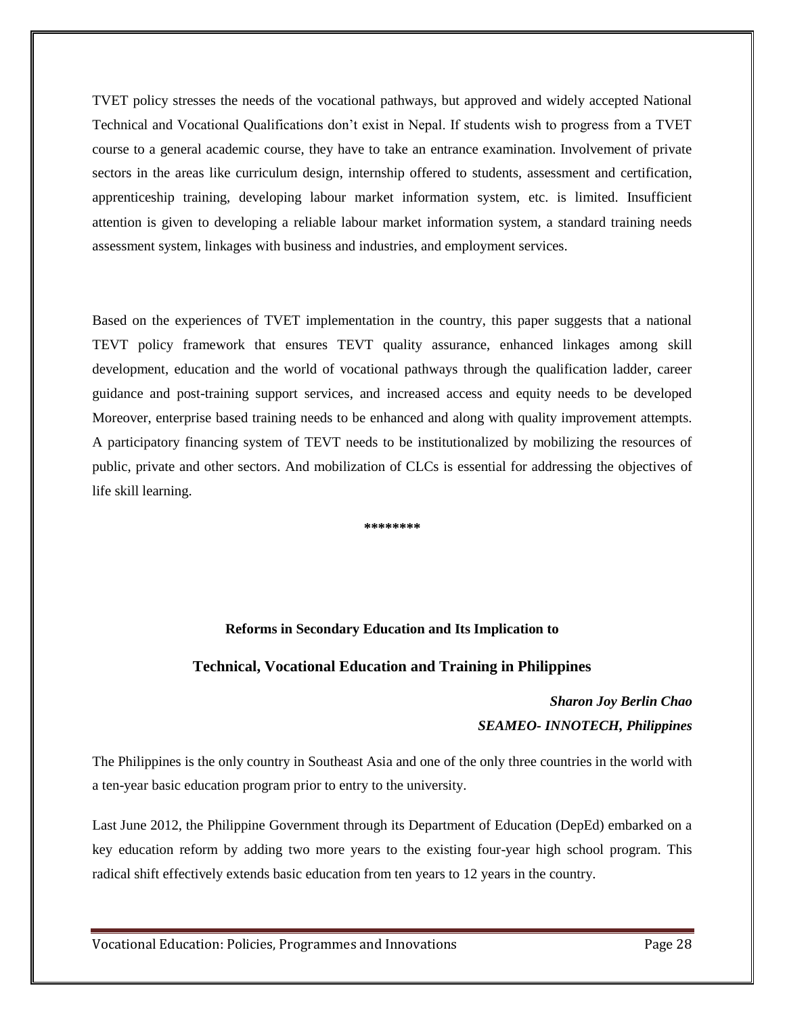TVET policy stresses the needs of the vocational pathways, but approved and widely accepted National Technical and Vocational Qualifications don't exist in Nepal. If students wish to progress from a TVET course to a general academic course, they have to take an entrance examination. Involvement of private sectors in the areas like curriculum design, internship offered to students, assessment and certification, apprenticeship training, developing labour market information system, etc. is limited. Insufficient attention is given to developing a reliable labour market information system, a standard training needs assessment system, linkages with business and industries, and employment services.

Based on the experiences of TVET implementation in the country, this paper suggests that a national TEVT policy framework that ensures TEVT quality assurance, enhanced linkages among skill development, education and the world of vocational pathways through the qualification ladder, career guidance and post-training support services, and increased access and equity needs to be developed Moreover, enterprise based training needs to be enhanced and along with quality improvement attempts. A participatory financing system of TEVT needs to be institutionalized by mobilizing the resources of public, private and other sectors. And mobilization of CLCs is essential for addressing the objectives of life skill learning.

**\*\*\*\*\*\*\*\***

#### **Reforms in Secondary Education and Its Implication to**

### **Technical, Vocational Education and Training in Philippines**

# *Sharon Joy Berlin Chao SEAMEO- INNOTECH, Philippines*

The Philippines is the only country in Southeast Asia and one of the only three countries in the world with a ten-year basic education program prior to entry to the university.

Last June 2012, the Philippine Government through its Department of Education (DepEd) embarked on a key education reform by adding two more years to the existing four-year high school program. This radical shift effectively extends basic education from ten years to 12 years in the country.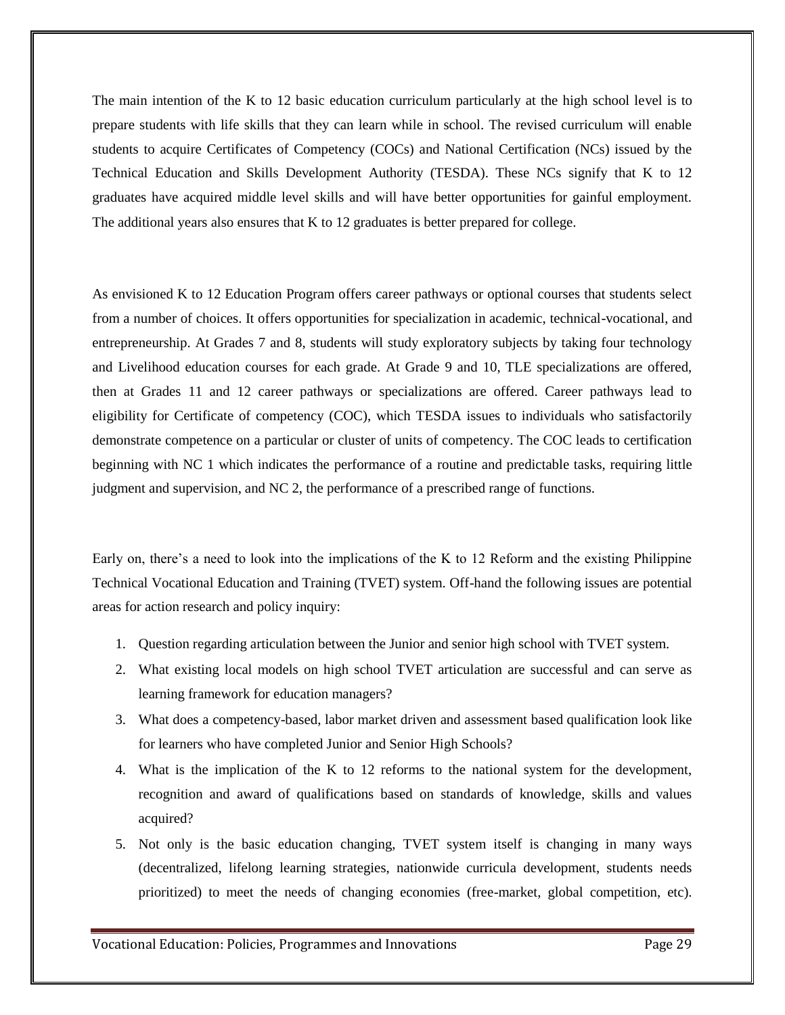The main intention of the K to 12 basic education curriculum particularly at the high school level is to prepare students with life skills that they can learn while in school. The revised curriculum will enable students to acquire Certificates of Competency (COCs) and National Certification (NCs) issued by the Technical Education and Skills Development Authority (TESDA). These NCs signify that K to 12 graduates have acquired middle level skills and will have better opportunities for gainful employment. The additional years also ensures that K to 12 graduates is better prepared for college.

As envisioned K to 12 Education Program offers career pathways or optional courses that students select from a number of choices. It offers opportunities for specialization in academic, technical-vocational, and entrepreneurship. At Grades 7 and 8, students will study exploratory subjects by taking four technology and Livelihood education courses for each grade. At Grade 9 and 10, TLE specializations are offered, then at Grades 11 and 12 career pathways or specializations are offered. Career pathways lead to eligibility for Certificate of competency (COC), which TESDA issues to individuals who satisfactorily demonstrate competence on a particular or cluster of units of competency. The COC leads to certification beginning with NC 1 which indicates the performance of a routine and predictable tasks, requiring little judgment and supervision, and NC 2, the performance of a prescribed range of functions.

Early on, there's a need to look into the implications of the K to 12 Reform and the existing Philippine Technical Vocational Education and Training (TVET) system. Off-hand the following issues are potential areas for action research and policy inquiry:

- 1. Question regarding articulation between the Junior and senior high school with TVET system.
- 2. What existing local models on high school TVET articulation are successful and can serve as learning framework for education managers?
- 3. What does a competency-based, labor market driven and assessment based qualification look like for learners who have completed Junior and Senior High Schools?
- 4. What is the implication of the K to 12 reforms to the national system for the development, recognition and award of qualifications based on standards of knowledge, skills and values acquired?
- 5. Not only is the basic education changing, TVET system itself is changing in many ways (decentralized, lifelong learning strategies, nationwide curricula development, students needs prioritized) to meet the needs of changing economies (free-market, global competition, etc).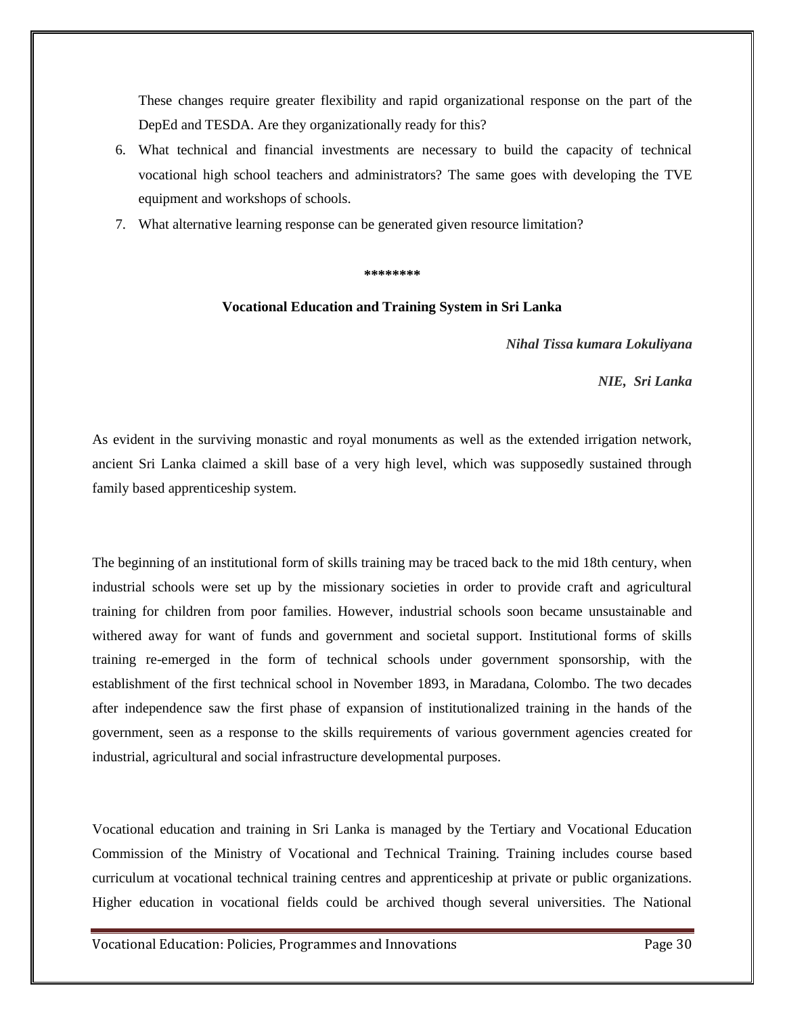These changes require greater flexibility and rapid organizational response on the part of the DepEd and TESDA. Are they organizationally ready for this?

- 6. What technical and financial investments are necessary to build the capacity of technical vocational high school teachers and administrators? The same goes with developing the TVE equipment and workshops of schools.
- 7. What alternative learning response can be generated given resource limitation?

#### **\*\*\*\*\*\*\*\***

#### **Vocational Education and Training System in Sri Lanka**

*Nihal Tissa kumara Lokuliyana*

*NIE, Sri Lanka* 

As evident in the surviving monastic and royal monuments as well as the extended irrigation network, ancient Sri Lanka claimed a skill base of a very high level, which was supposedly sustained through family based apprenticeship system.

The beginning of an institutional form of skills training may be traced back to the mid 18th century, when industrial schools were set up by the missionary societies in order to provide craft and agricultural training for children from poor families. However, industrial schools soon became unsustainable and withered away for want of funds and government and societal support. Institutional forms of skills training re-emerged in the form of technical schools under government sponsorship, with the establishment of the first technical school in November 1893, in Maradana, Colombo. The two decades after independence saw the first phase of expansion of institutionalized training in the hands of the government, seen as a response to the skills requirements of various government agencies created for industrial, agricultural and social infrastructure developmental purposes.

Vocational education and training in Sri Lanka is managed by the Tertiary and Vocational Education Commission of the Ministry of Vocational and Technical Training. Training includes course based curriculum at vocational technical training centres and apprenticeship at private or public organizations. Higher education in vocational fields could be archived though several universities. The National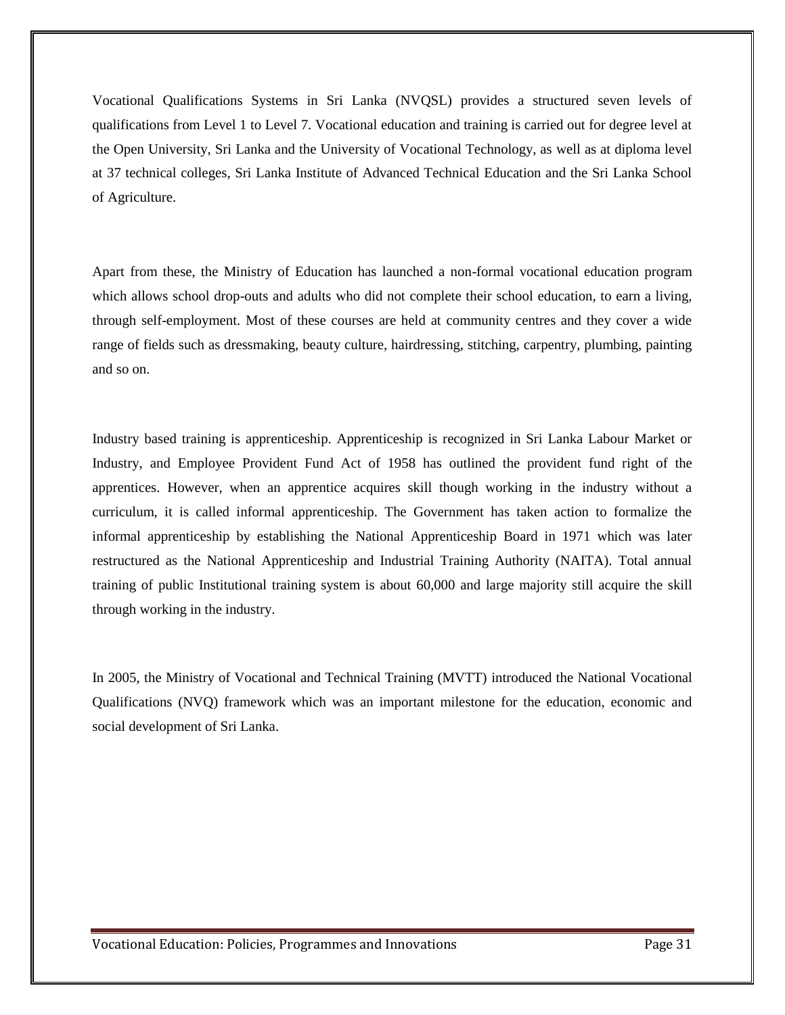Vocational Qualifications Systems in Sri Lanka (NVQSL) provides a structured seven levels of qualifications from Level 1 to Level 7. Vocational education and training is carried out for degree level at the Open University, Sri Lanka and the University of Vocational Technology, as well as at diploma level at 37 technical colleges, Sri Lanka Institute of Advanced Technical Education and the Sri Lanka School of Agriculture.

Apart from these, the Ministry of Education has launched a non-formal vocational education program which allows school drop-outs and adults who did not complete their school education, to earn a living, through self-employment. Most of these courses are held at community centres and they cover a wide range of fields such as dressmaking, beauty culture, hairdressing, stitching, carpentry, plumbing, painting and so on.

Industry based training is apprenticeship. Apprenticeship is recognized in Sri Lanka Labour Market or Industry, and Employee Provident Fund Act of 1958 has outlined the provident fund right of the apprentices. However, when an apprentice acquires skill though working in the industry without a curriculum, it is called informal apprenticeship. The Government has taken action to formalize the informal apprenticeship by establishing the National Apprenticeship Board in 1971 which was later restructured as the National Apprenticeship and Industrial Training Authority (NAITA). Total annual training of public Institutional training system is about 60,000 and large majority still acquire the skill through working in the industry.

In 2005, the Ministry of Vocational and Technical Training (MVTT) introduced the National Vocational Qualifications (NVQ) framework which was an important milestone for the education, economic and social development of Sri Lanka.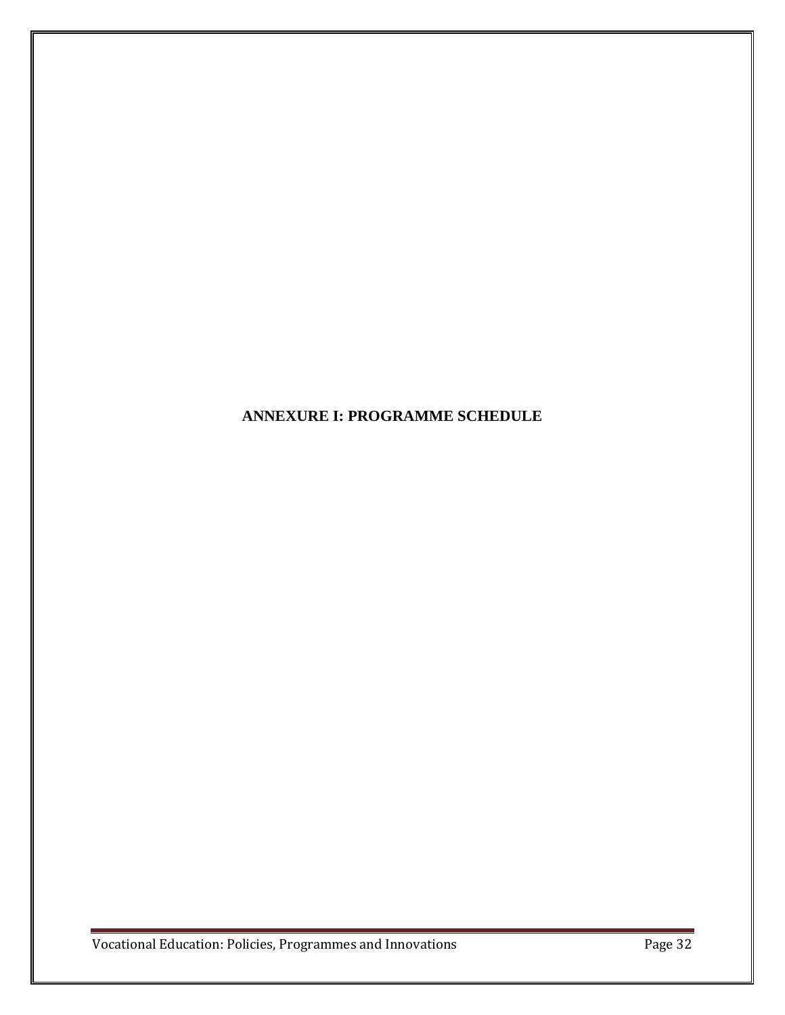# **ANNEXURE I: PROGRAMME SCHEDULE**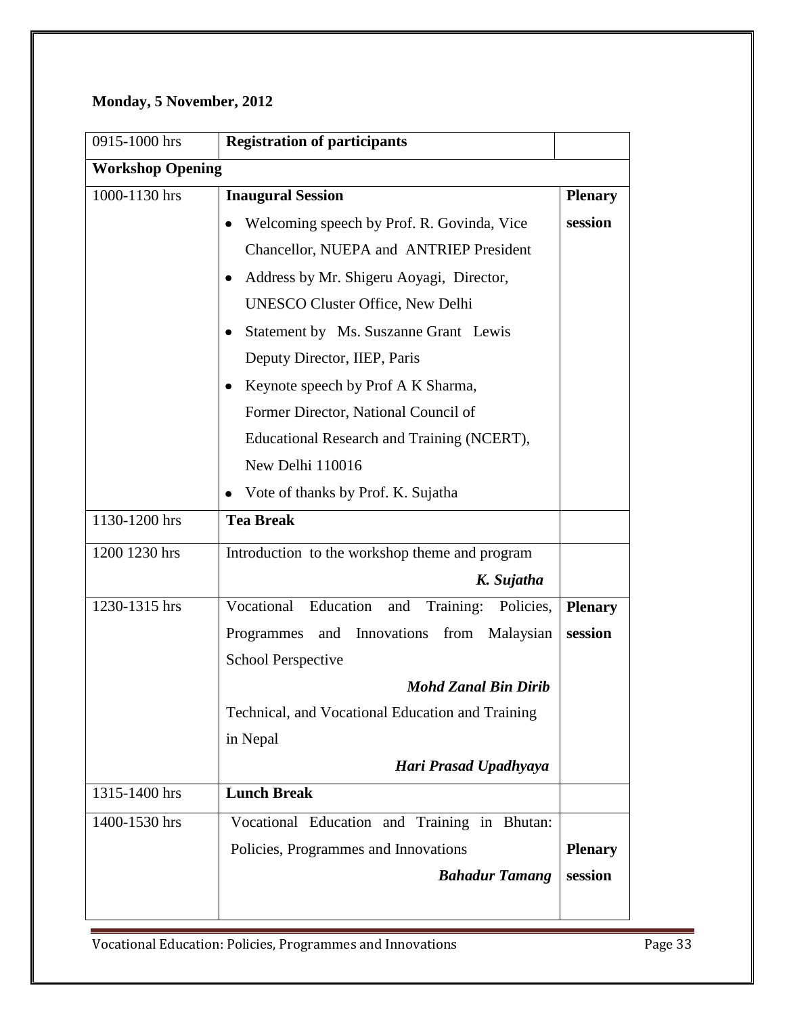# **Monday, 5 November, 2012**

| 0915-1000 hrs           | <b>Registration of participants</b>                   |                |
|-------------------------|-------------------------------------------------------|----------------|
| <b>Workshop Opening</b> |                                                       |                |
| $1000 - 1130$ hrs       | <b>Inaugural Session</b>                              | <b>Plenary</b> |
|                         | Welcoming speech by Prof. R. Govinda, Vice<br>٠       | session        |
|                         | Chancellor, NUEPA and ANTRIEP President               |                |
|                         | Address by Mr. Shigeru Aoyagi, Director,<br>$\bullet$ |                |
|                         | <b>UNESCO Cluster Office, New Delhi</b>               |                |
|                         | Statement by Ms. Suszanne Grant Lewis<br>$\bullet$    |                |
|                         | Deputy Director, IIEP, Paris                          |                |
|                         | Keynote speech by Prof A K Sharma,<br>٠               |                |
|                         | Former Director, National Council of                  |                |
|                         | Educational Research and Training (NCERT),            |                |
|                         | New Delhi 110016                                      |                |
|                         | Vote of thanks by Prof. K. Sujatha                    |                |
| 1130-1200 hrs           | <b>Tea Break</b>                                      |                |
| 1200 1230 hrs           | Introduction to the workshop theme and program        |                |
|                         | K. Sujatha                                            |                |
| 1230-1315 hrs           | Vocational Education<br>Training:<br>and<br>Policies, | <b>Plenary</b> |
|                         | and Innovations from Malaysian<br>Programmes          | session        |
|                         | <b>School Perspective</b>                             |                |
|                         | <b>Mohd Zanal Bin Dirib</b>                           |                |
|                         | Technical, and Vocational Education and Training      |                |
|                         | in Nepal                                              |                |
|                         | Hari Prasad Upadhyaya                                 |                |
| 1315-1400 hrs           | <b>Lunch Break</b>                                    |                |
| 1400-1530 hrs           | Vocational Education and Training in Bhutan:          |                |
|                         | Policies, Programmes and Innovations                  | <b>Plenary</b> |
|                         | <b>Bahadur Tamang</b>                                 | session        |
|                         |                                                       |                |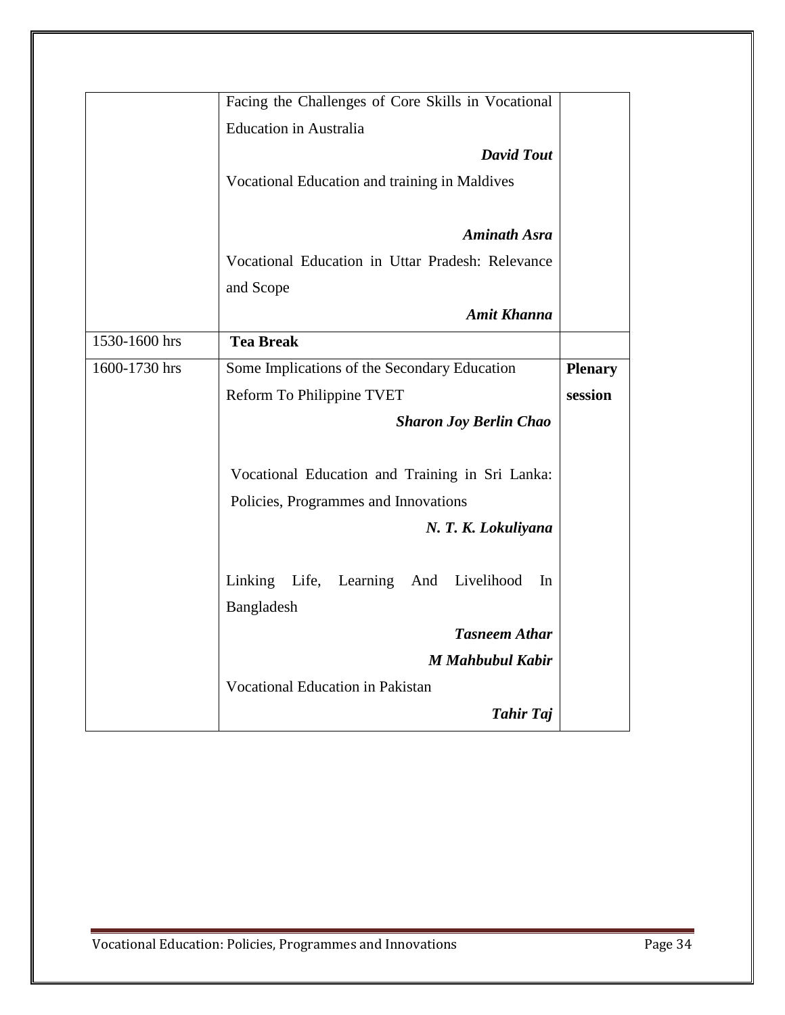|               | Facing the Challenges of Core Skills in Vocational |                |
|---------------|----------------------------------------------------|----------------|
|               | <b>Education</b> in Australia                      |                |
|               | <b>David Tout</b>                                  |                |
|               | Vocational Education and training in Maldives      |                |
|               |                                                    |                |
|               | <b>Aminath Asra</b>                                |                |
|               | Vocational Education in Uttar Pradesh: Relevance   |                |
|               | and Scope                                          |                |
|               | <b>Amit Khanna</b>                                 |                |
| 1530-1600 hrs | <b>Tea Break</b>                                   |                |
| 1600-1730 hrs | Some Implications of the Secondary Education       | <b>Plenary</b> |
|               | Reform To Philippine TVET                          | session        |
|               | <b>Sharon Joy Berlin Chao</b>                      |                |
|               | Vocational Education and Training in Sri Lanka:    |                |
|               | Policies, Programmes and Innovations               |                |
|               | N. T. K. Lokuliyana                                |                |
|               | Linking Life, Learning And Livelihood<br>In        |                |
|               | Bangladesh                                         |                |
|               | <b>Tasneem Athar</b>                               |                |
|               | <b>M</b> Mahbubul Kabir                            |                |
|               | <b>Vocational Education in Pakistan</b>            |                |
|               | <b>Tahir Taj</b>                                   |                |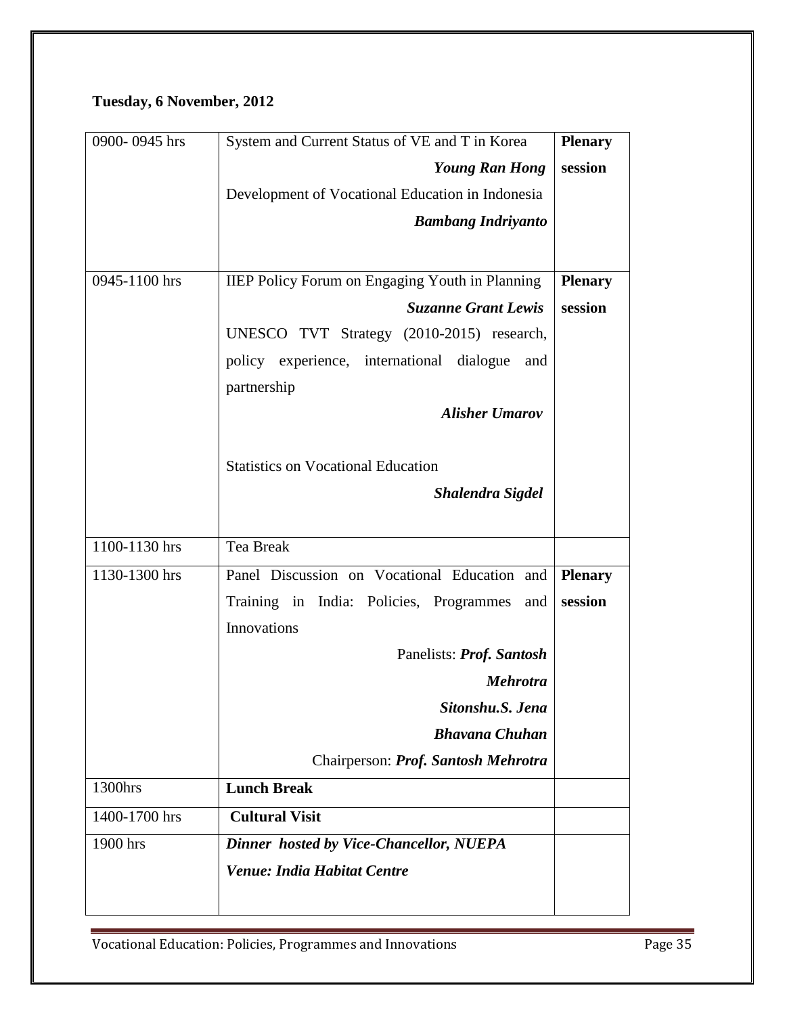# **Tuesday, 6 November, 2012**

| 0900-0945 hrs | System and Current Status of VE and T in Korea         | <b>Plenary</b> |
|---------------|--------------------------------------------------------|----------------|
|               | <b>Young Ran Hong</b>                                  | session        |
|               | Development of Vocational Education in Indonesia       |                |
|               | <b>Bambang Indrivanto</b>                              |                |
|               |                                                        |                |
| 0945-1100 hrs | <b>IIEP Policy Forum on Engaging Youth in Planning</b> | <b>Plenary</b> |
|               | <b>Suzanne Grant Lewis</b>                             | session        |
|               | UNESCO TVT Strategy (2010-2015) research,              |                |
|               | policy experience, international dialogue<br>and       |                |
|               | partnership                                            |                |
|               | <b>Alisher Umarov</b>                                  |                |
|               |                                                        |                |
|               | <b>Statistics on Vocational Education</b>              |                |
|               | Shalendra Sigdel                                       |                |
|               |                                                        |                |
| 1100-1130 hrs | Tea Break                                              |                |
| 1130-1300 hrs | Panel Discussion on Vocational Education and           | <b>Plenary</b> |
|               | Training in India: Policies, Programmes<br>and         | session        |
|               | Innovations                                            |                |
|               | Panelists: Prof. Santosh                               |                |
|               | <b>Mehrotra</b>                                        |                |
|               | Sitonshu.S. Jena                                       |                |
|               | <b>Bhavana Chuhan</b>                                  |                |
|               | Chairperson: Prof. Santosh Mehrotra                    |                |
| 1300hrs       | <b>Lunch Break</b>                                     |                |
| 1400-1700 hrs | <b>Cultural Visit</b>                                  |                |
| 1900 hrs      | <b>Dinner hosted by Vice-Chancellor, NUEPA</b>         |                |
|               | <b>Venue: India Habitat Centre</b>                     |                |
|               |                                                        |                |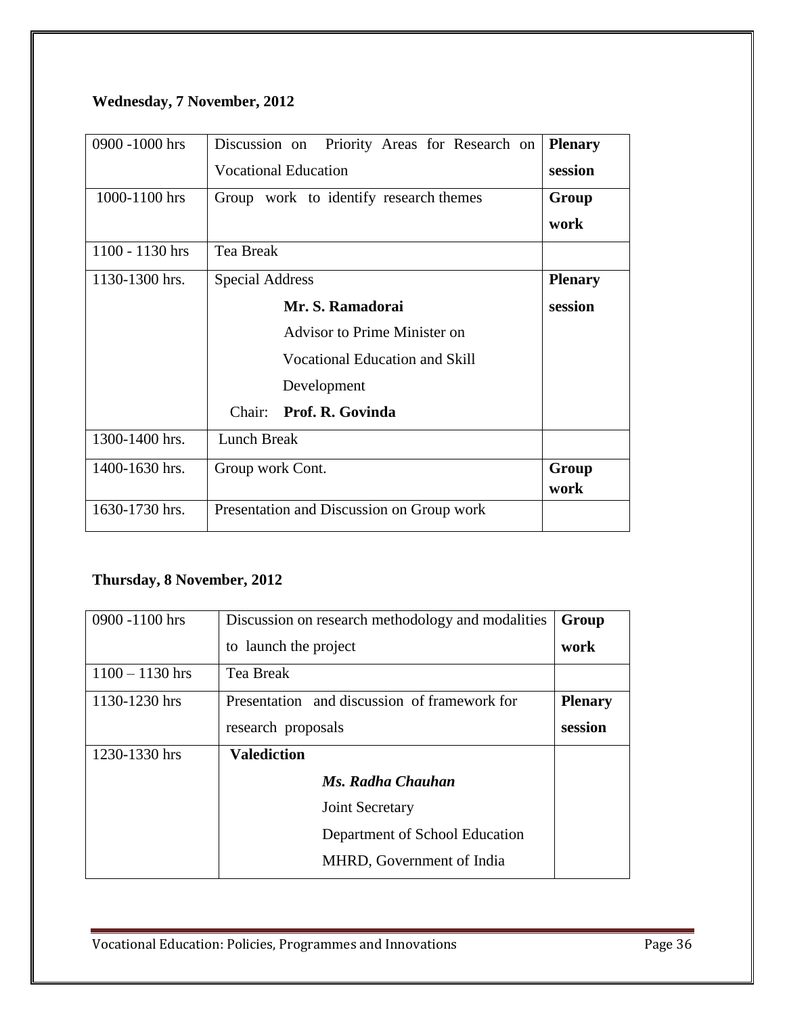# **Wednesday, 7 November, 2012**

| 0900 -1000 hrs  | Priority Areas for Research on<br>Discussion on | <b>Plenary</b> |
|-----------------|-------------------------------------------------|----------------|
|                 | <b>Vocational Education</b>                     | session        |
| 1000-1100 hrs   | Group work to identify research themes          | Group          |
|                 |                                                 | work           |
| 1100 - 1130 hrs | Tea Break                                       |                |
| 1130-1300 hrs.  | <b>Special Address</b>                          | <b>Plenary</b> |
|                 | Mr. S. Ramadorai                                | session        |
|                 | <b>Advisor to Prime Minister on</b>             |                |
|                 | <b>Vocational Education and Skill</b>           |                |
|                 | Development                                     |                |
|                 | Prof. R. Govinda<br>Chair:                      |                |
| 1300-1400 hrs.  | Lunch Break                                     |                |
| 1400-1630 hrs.  | Group work Cont.                                | Group<br>work  |
| 1630-1730 hrs.  | Presentation and Discussion on Group work       |                |

# **Thursday, 8 November, 2012**

| 0900 -1100 hrs    | Discussion on research methodology and modalities | Group          |
|-------------------|---------------------------------------------------|----------------|
|                   | to launch the project                             | work           |
| $1100 - 1130$ hrs | Tea Break                                         |                |
| 1130-1230 hrs     | Presentation and discussion of framework for      | <b>Plenary</b> |
|                   | research proposals                                | session        |
| 1230-1330 hrs     | <b>Valediction</b>                                |                |
|                   | Ms. Radha Chauhan                                 |                |
|                   | Joint Secretary                                   |                |
|                   | Department of School Education                    |                |
|                   | MHRD, Government of India                         |                |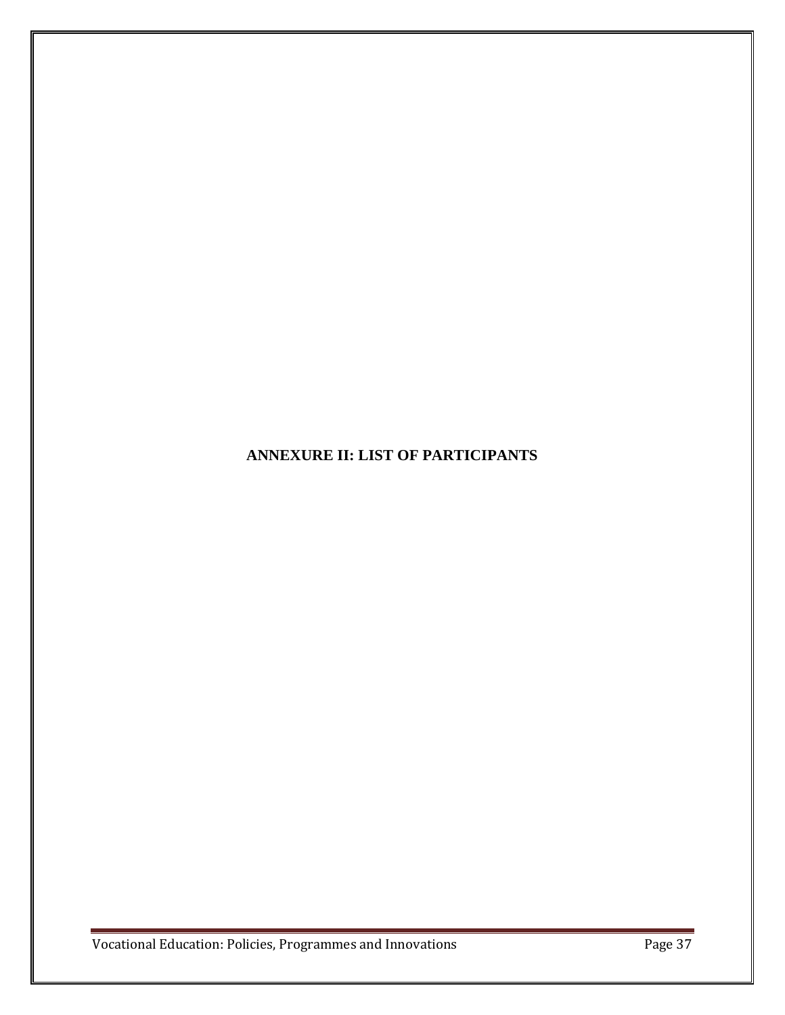**ANNEXURE II: LIST OF PARTICIPANTS**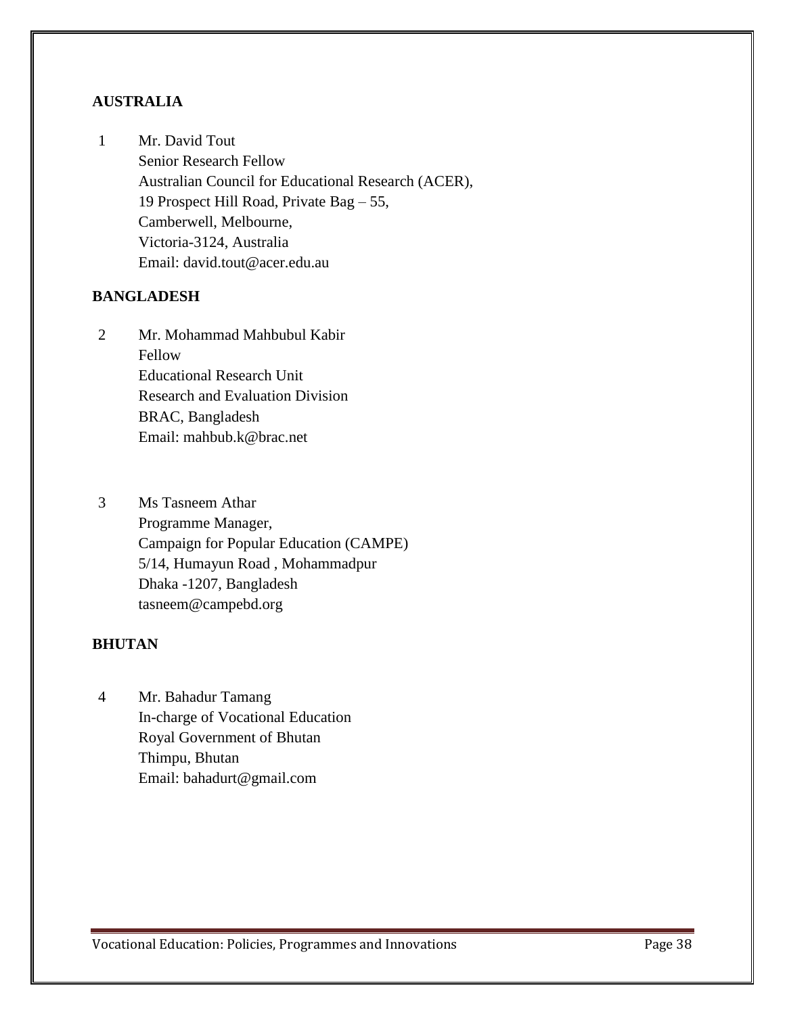# **AUSTRALIA**

1 Mr. David Tout Senior Research Fellow Australian Council for Educational Research (ACER), 19 Prospect Hill Road, Private Bag – 55, Camberwell, Melbourne, Victoria-3124, Australia Email: david.tout@acer.edu.au

# **BANGLADESH**

- 2 Mr. Mohammad Mahbubul Kabir Fellow Educational Research Unit Research and Evaluation Division BRAC, Bangladesh Email: mahbub.k@brac.net
- 3 Ms Tasneem Athar Programme Manager, Campaign for Popular Education (CAMPE) 5/14, Humayun Road , Mohammadpur Dhaka -1207, Bangladesh tasneem@campebd.org

# **BHUTAN**

4 Mr. Bahadur Tamang In-charge of Vocational Education Royal Government of Bhutan Thimpu, Bhutan Email: bahadurt@gmail.com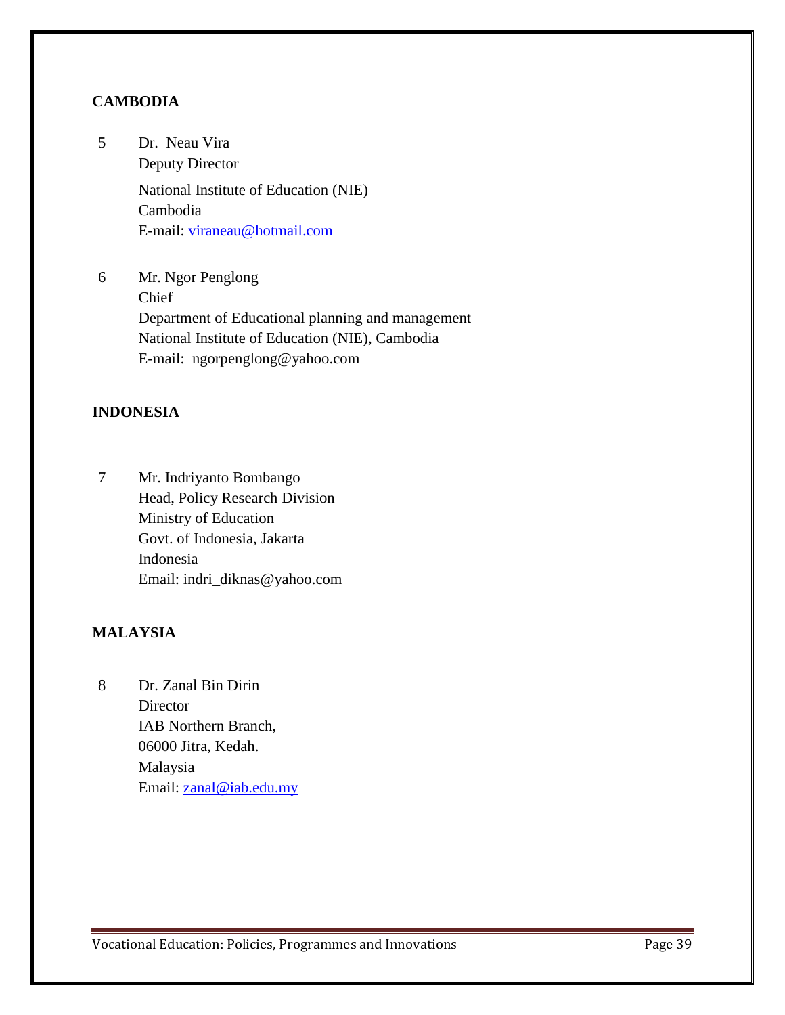# **CAMBODIA**

- 5 Dr. Neau Vira Deputy Director National Institute of Education (NIE) Cambodia E-mail: [viraneau@hotmail.com](mailto:viraneau@hotmail.com)
- 6 Mr. Ngor Penglong Chief Department of Educational planning and management National Institute of Education (NIE), Cambodia E-mail: ngorpenglong@yahoo.com

# **INDONESIA**

7 Mr. Indriyanto Bombango Head, Policy Research Division Ministry of Education Govt. of Indonesia, Jakarta Indonesia Email: indri\_diknas@yahoo.com

# **MALAYSIA**

8 Dr. Zanal Bin Dirin **Director** IAB Northern Branch, 06000 Jitra, Kedah. Malaysia Email: [zanal@iab.edu.my](mailto:zanal@iab.edu.my)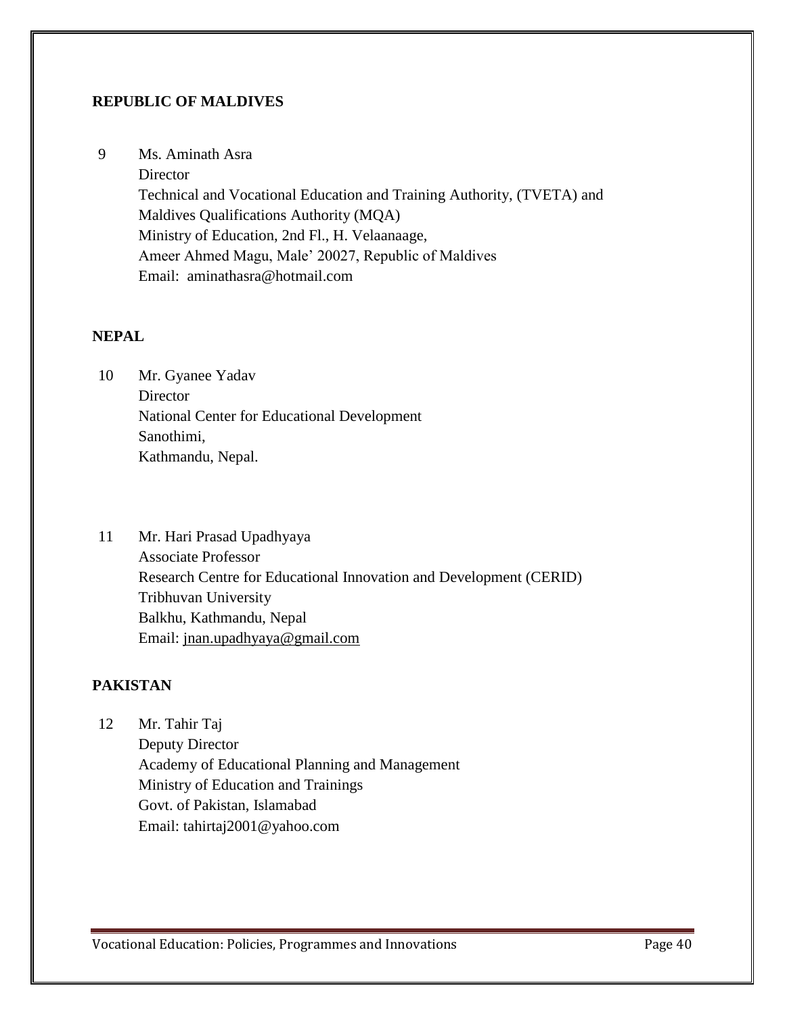## **REPUBLIC OF MALDIVES**

9 Ms. Aminath Asra

**Director** Technical and Vocational Education and Training Authority, (TVETA) and Maldives Qualifications Authority (MQA) Ministry of Education, 2nd Fl., H. Velaanaage, Ameer Ahmed Magu, Male' 20027, Republic of Maldives Email: [aminathasra@hotmail.com](http://au.mc1201.mail.yahoo.com/mc/compose?to=aminathasra@hotmail.com)

### **NEPAL**

- 10 Mr. Gyanee Yadav **Director** National Center for Educational Development Sanothimi, Kathmandu, Nepal.
- 11 Mr. Hari Prasad Upadhyaya Associate Professor Research Centre for Educational Innovation and Development (CERID) Tribhuvan University Balkhu, Kathmandu, Nepal Email: [jnan.upadhyaya@gmail.com](mailto:jnan.upadhyaya@gmail.com)

# **PAKISTAN**

12 Mr. Tahir Taj Deputy Director Academy of Educational Planning and Management Ministry of Education and Trainings Govt. of Pakistan, Islamabad Email: tahirtaj2001@yahoo.com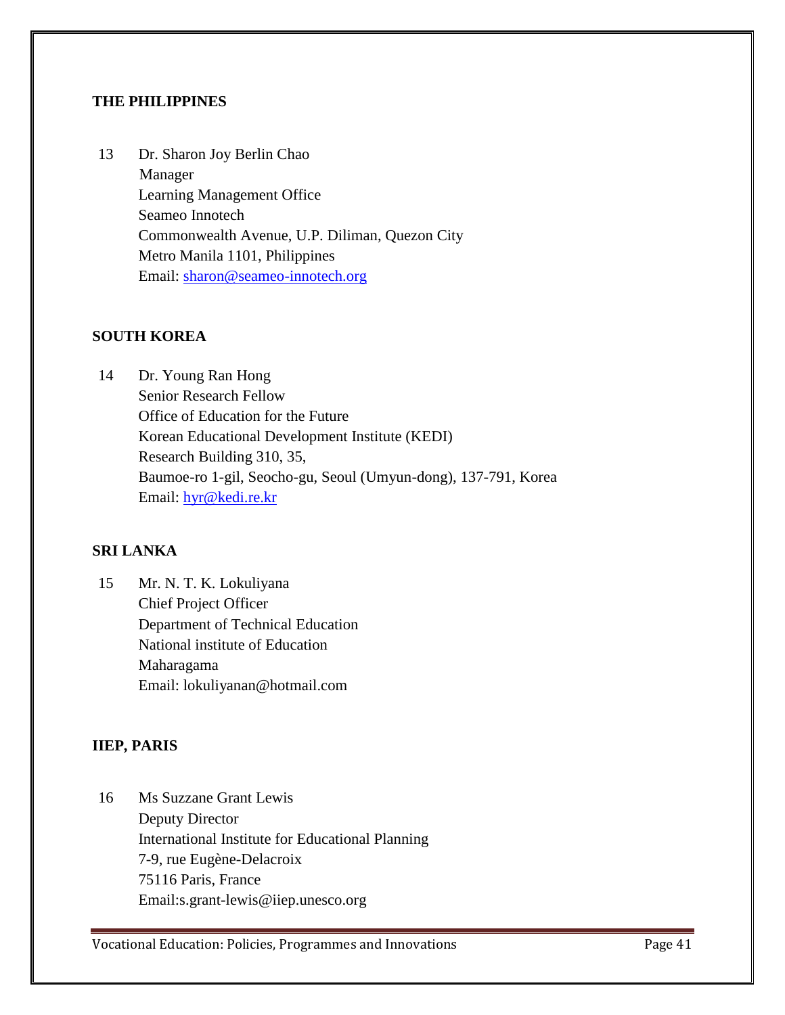# **THE PHILIPPINES**

13 Dr. Sharon Joy Berlin Chao Manager Learning Management Office Seameo Innotech Commonwealth Avenue, U.P. Diliman, Quezon City Metro Manila 1101, Philippines Email: [sharon@seameo-innotech.org](mailto:sharon@seameo-innotech.org)

## **SOUTH KOREA**

14 Dr. Young Ran Hong Senior Research Fellow Office of Education for the Future Korean Educational Development Institute (KEDI) Research Building 310, 35, Baumoe-ro 1-gil, Seocho-gu, Seoul (Umyun-dong), 137-791, Korea Email: [hyr@kedi.re.kr](http://au.mc1201.mail.yahoo.com/mc/compose?to=hyr@kedi.re.kr)

# **SRI LANKA**

15 Mr. N. T. K. Lokuliyana Chief Project Officer Department of Technical Education National institute of Education Maharagama Email: lokuliyanan@hotmail.com

# **IIEP, PARIS**

16 Ms Suzzane Grant Lewis Deputy Director International Institute for Educational Planning 7-9, rue Eugène-Delacroix 75116 Paris, France Email:s.grant-lewis@iiep.unesco.org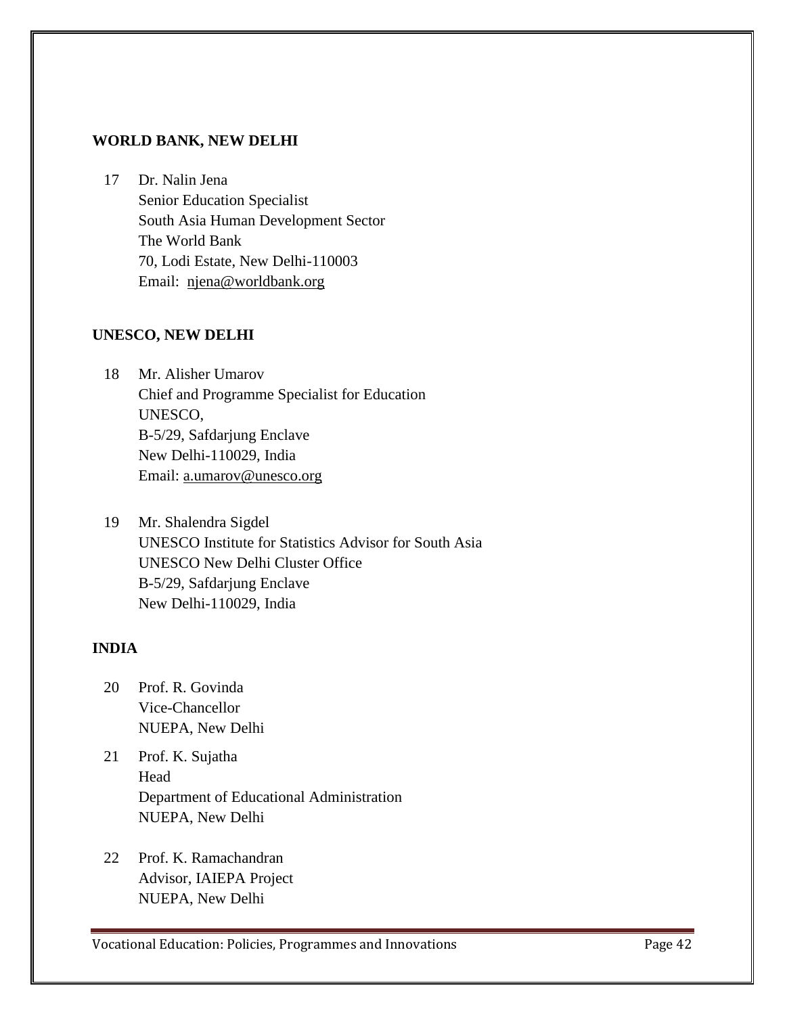# **WORLD BANK, NEW DELHI**

17 Dr. Nalin Jena Senior Education Specialist South Asia Human Development Sector The World Bank 70, Lodi Estate, New Delhi-110003 Email: [njena@worldbank.org](http://au.mc1201.mail.yahoo.com/mc/compose?to=njena@worldbank.org) 

## **UNESCO, NEW DELHI**

18 Mr. Alisher Umarov Chief and Programme Specialist for Education UNESCO, B-5/29, Safdarjung Enclave New Delhi-110029, India Email: [a.umarov@unesco.org](mailto:a.umarov@unesco.org)

19 Mr. Shalendra Sigdel UNESCO Institute for Statistics Advisor for South Asia UNESCO New Delhi Cluster Office B-5/29, Safdarjung Enclave New Delhi-110029, India

# **INDIA**

- 20 Prof. R. Govinda Vice-Chancellor NUEPA, New Delhi
- 21 Prof. K. Sujatha Head Department of Educational Administration NUEPA, New Delhi
- 22 Prof. K. Ramachandran Advisor, IAIEPA Project NUEPA, New Delhi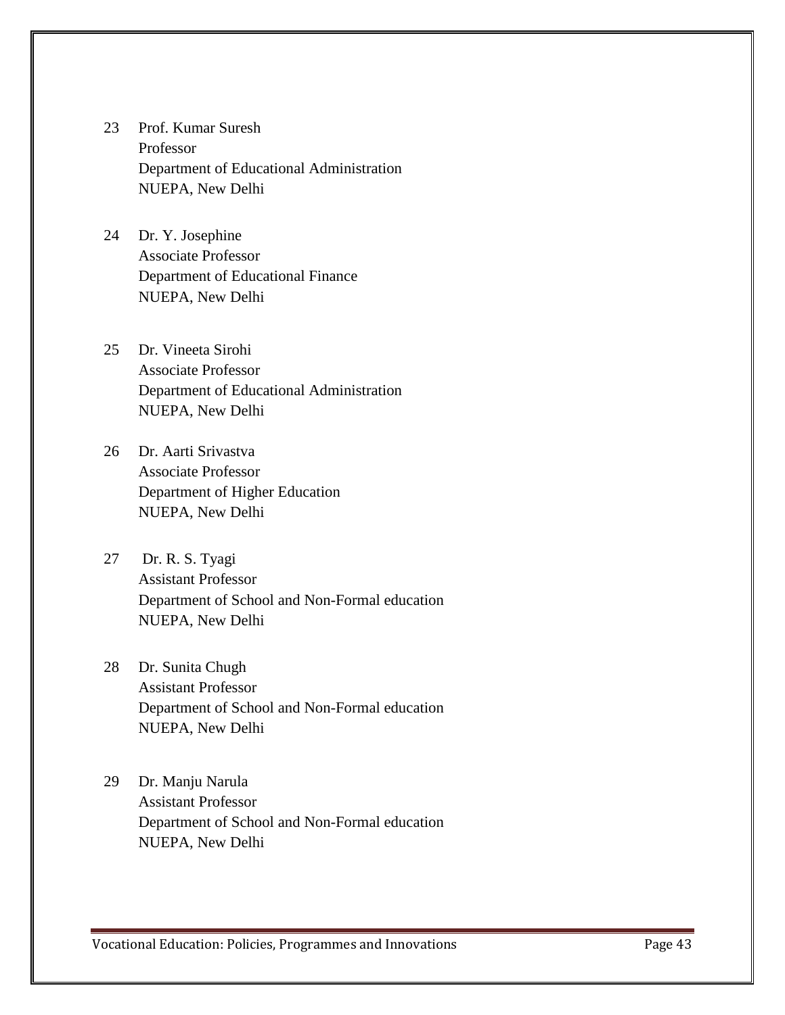- 23 Prof. Kumar Suresh Professor Department of Educational Administration NUEPA, New Delhi
- 24 Dr. Y. Josephine Associate Professor Department of Educational Finance NUEPA, New Delhi
- 25 Dr. Vineeta Sirohi Associate Professor Department of Educational Administration NUEPA, New Delhi
- 26 Dr. Aarti Srivastva Associate Professor Department of Higher Education NUEPA, New Delhi
- 27 Dr. R. S. Tyagi Assistant Professor Department of School and Non-Formal education NUEPA, New Delhi
- 28 Dr. Sunita Chugh Assistant Professor Department of School and Non-Formal education NUEPA, New Delhi
- 29 Dr. Manju Narula Assistant Professor Department of School and Non-Formal education NUEPA, New Delhi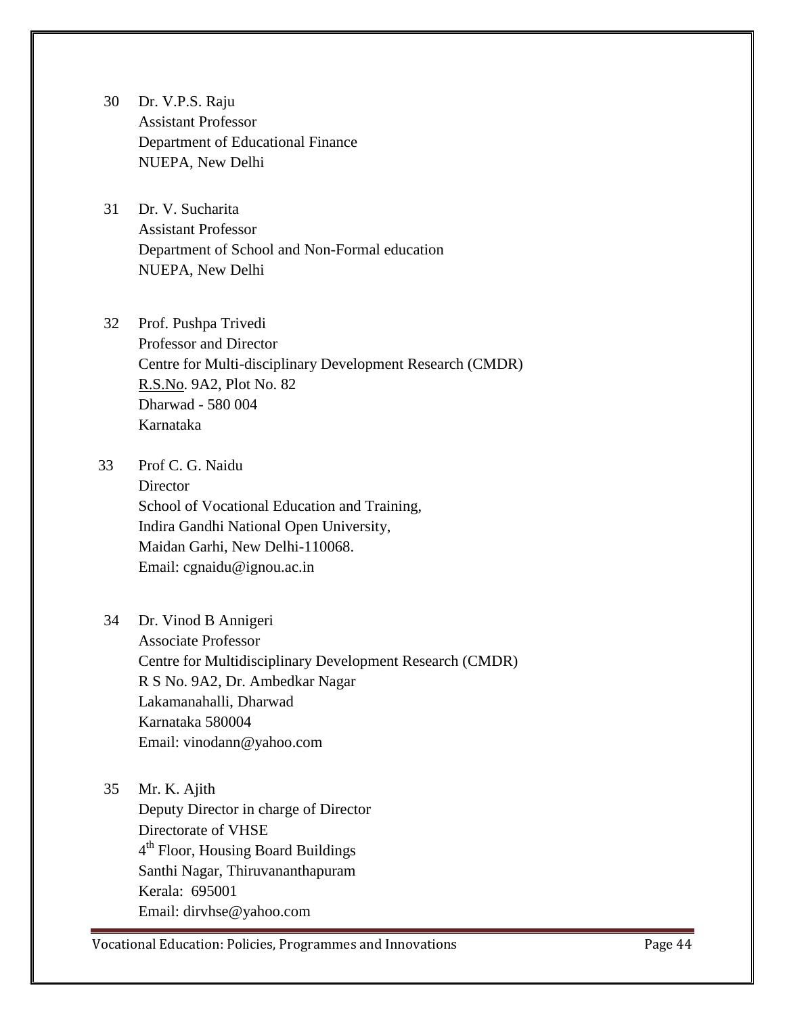- 30 Dr. V.P.S. Raju Assistant Professor Department of Educational Finance NUEPA, New Delhi
- 31 Dr. V. Sucharita Assistant Professor Department of School and Non-Formal education NUEPA, New Delhi
- 32 Prof. Pushpa Trivedi Professor and Director Centre for Multi-disciplinary Development Research (CMDR) [R.S.No.](http://r.s.no/) 9A2, Plot No. 82 Dharwad - 580 004 Karnataka
- 33 Prof C. G. Naidu **Director** School of Vocational Education and Training, Indira Gandhi National Open University,

Maidan Garhi, New Delhi-110068. Email: cgnaidu@ignou.ac.in

- 34 Dr. Vinod B Annigeri Associate Professor Centre for Multidisciplinary Development Research (CMDR) R S No. 9A2, Dr. Ambedkar Nagar Lakamanahalli, Dharwad Karnataka 580004 Email: vinodann@yahoo.com
- 35 Mr. K. Ajith Deputy Director in charge of Director Directorate of VHSE 4<sup>th</sup> Floor, Housing Board Buildings Santhi Nagar, Thiruvananthapuram Kerala: 695001 Email: dirvhse@yahoo.com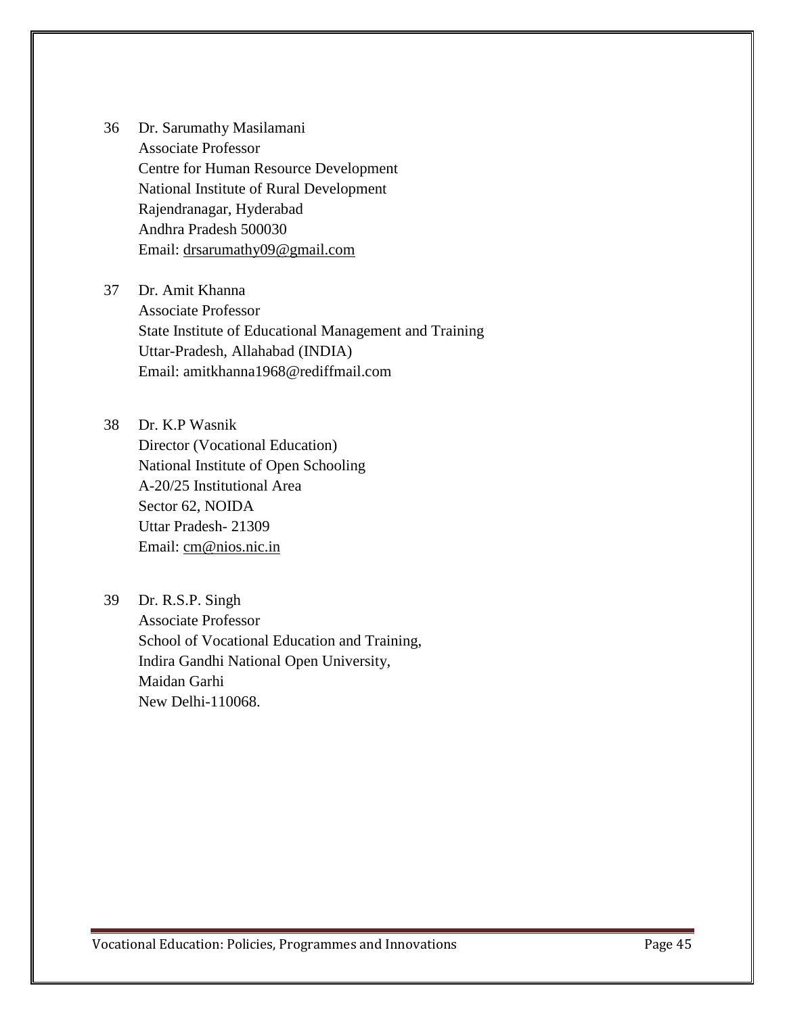36 Dr. Sarumathy Masilamani Associate Professor Centre for Human Resource Development National Institute of Rural Development Rajendranagar, Hyderabad Andhra Pradesh 500030 Email: [drsarumathy09@gmail.com](mailto:drsarumathy09@gmail.com)

37 Dr. Amit Khanna Associate Professor State Institute of Educational Management and Training Uttar-Pradesh, Allahabad (INDIA) Email: amitkhanna1968@rediffmail.com

38 Dr. K.P Wasnik Director (Vocational Education) National Institute of Open Schooling A-20/25 Institutional Area

Sector 62, NOIDA Uttar Pradesh- 21309 Email: [cm@nios.nic.in](mailto:cm@nios.nic.in)

39 Dr. R.S.P. Singh

Associate Professor School of Vocational Education and Training, Indira Gandhi National Open University, Maidan Garhi New Delhi-110068.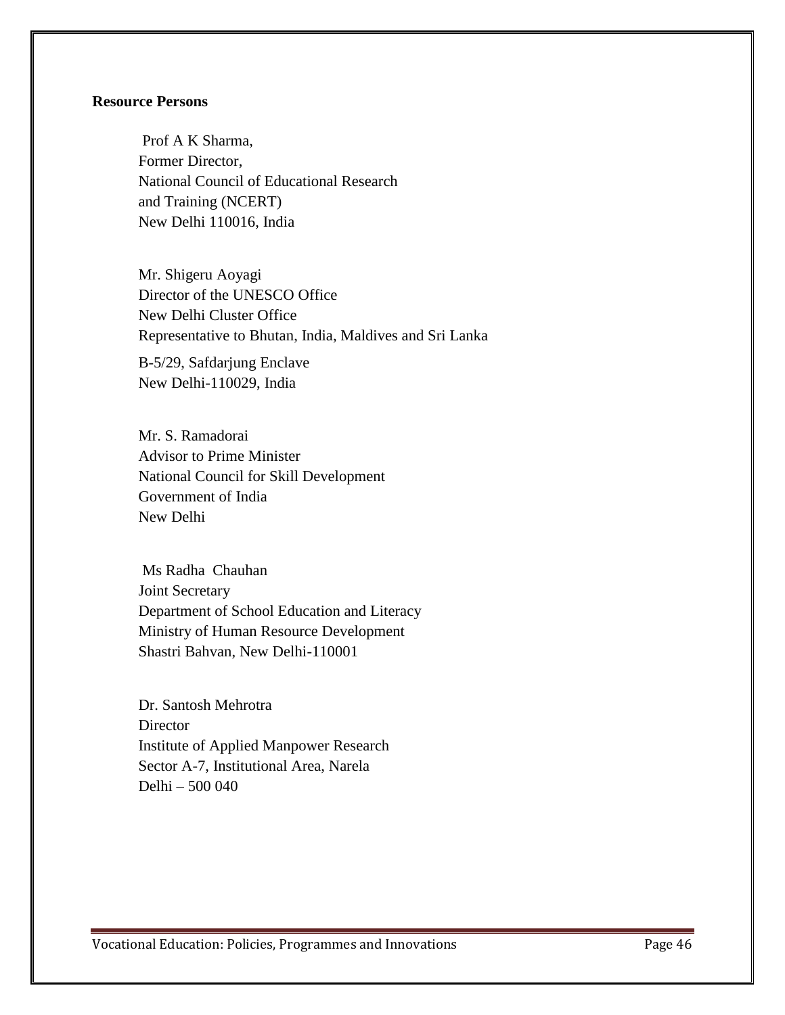# **Resource Persons**

 Prof A K Sharma, Former Director, National Council of Educational Research and Training (NCERT) New Delhi 110016, India

Mr. Shigeru Aoyagi Director of the UNESCO Office New Delhi Cluster Office Representative to Bhutan, India, Maldives and Sri Lanka

B-5/29, Safdarjung Enclave New Delhi-110029, India

Mr. S. Ramadorai Advisor to Prime Minister National Council for Skill Development Government of India New Delhi

 Ms Radha Chauhan Joint Secretary Department of School Education and Literacy Ministry of Human Resource Development Shastri Bahvan, New Delhi-110001

Dr. Santosh Mehrotra **Director** Institute of Applied Manpower Research Sector A-7, Institutional Area, Narela Delhi – 500 040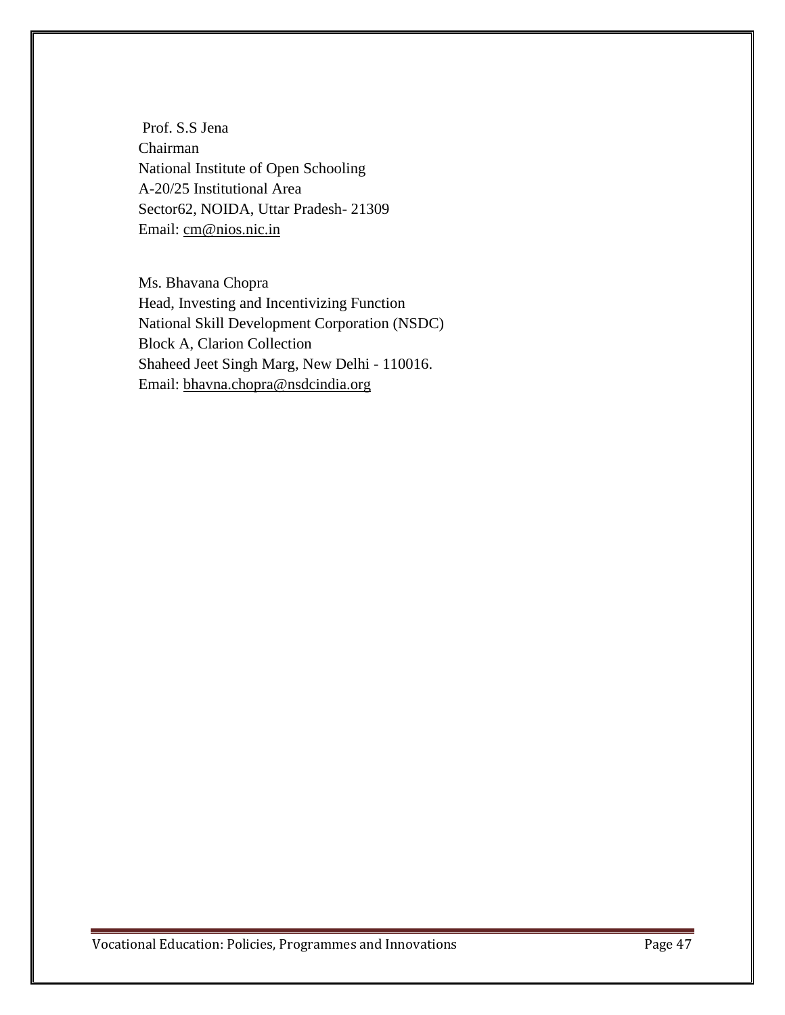Prof. S.S Jena Chairman National Institute of Open Schooling A-20/25 Institutional Area Sector62, NOIDA, Uttar Pradesh- 21309 Email: [cm@nios.nic.in](mailto:cm@nios.nic.in)

Ms. Bhavana Chopra Head, Investing and Incentivizing Function National Skill Development Corporation (NSDC) Block A, Clarion Collection Shaheed Jeet Singh Marg, New Delhi - 110016. Email: [bhavna.chopra@nsdcindia.org](mailto:bhavna.chopra@nsdcindia.org)